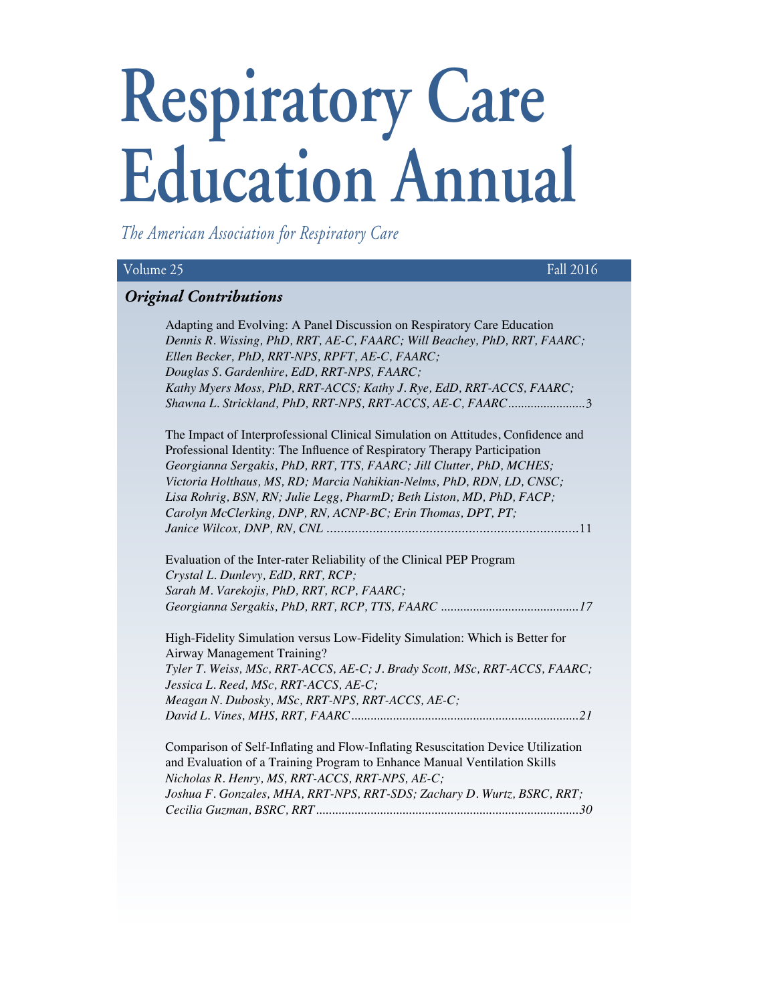# **Respiratory Care Education Annual**

*The American Association for Respiratory Care*

| Fall 2016<br>Volume 25                                                           |
|----------------------------------------------------------------------------------|
| <b>Original Contributions</b>                                                    |
| Adapting and Evolving: A Panel Discussion on Respiratory Care Education          |
| Dennis R. Wissing, PhD, RRT, AE-C, FAARC; Will Beachey, PhD, RRT, FAARC;         |
| Ellen Becker, PhD, RRT-NPS, RPFT, AE-C, FAARC;                                   |
| Douglas S. Gardenhire, EdD, RRT-NPS, FAARC;                                      |
| Kathy Myers Moss, PhD, RRT-ACCS; Kathy J. Rye, EdD, RRT-ACCS, FAARC;             |
| Shawna L. Strickland, PhD, RRT-NPS, RRT-ACCS, AE-C, FAARC3                       |
| The Impact of Interprofessional Clinical Simulation on Attitudes, Confidence and |
| Professional Identity: The Influence of Respiratory Therapy Participation        |
| Georgianna Sergakis, PhD, RRT, TTS, FAARC; Jill Clutter, PhD, MCHES;             |
| Victoria Holthaus, MS, RD; Marcia Nahikian-Nelms, PhD, RDN, LD, CNSC;            |
| Lisa Rohrig, BSN, RN; Julie Legg, PharmD; Beth Liston, MD, PhD, FACP;            |
| Carolyn McClerking, DNP, RN, ACNP-BC; Erin Thomas, DPT, PT;                      |
|                                                                                  |
| Evaluation of the Inter-rater Reliability of the Clinical PEP Program            |
| Crystal L. Dunlevy, EdD, RRT, RCP;                                               |
| Sarah M. Varekojis, PhD, RRT, RCP, FAARC;                                        |
|                                                                                  |
| High-Fidelity Simulation versus Low-Fidelity Simulation: Which is Better for     |
| Airway Management Training?                                                      |
| Tyler T. Weiss, MSc, RRT-ACCS, AE-C; J. Brady Scott, MSc, RRT-ACCS, FAARC;       |
| Jessica L. Reed, MSc, RRT-ACCS, AE-C;                                            |
| Meagan N. Dubosky, MSc, RRT-NPS, RRT-ACCS, AE-C;                                 |
|                                                                                  |
| Comparison of Self-Inflating and Flow-Inflating Resuscitation Device Utilization |
| and Evaluation of a Training Program to Enhance Manual Ventilation Skills        |
| Nicholas R. Henry, MS, RRT-ACCS, RRT-NPS, AE-C;                                  |
| Joshua F. Gonzales, MHA, RRT-NPS, RRT-SDS; Zachary D. Wurtz, BSRC, RRT;          |
|                                                                                  |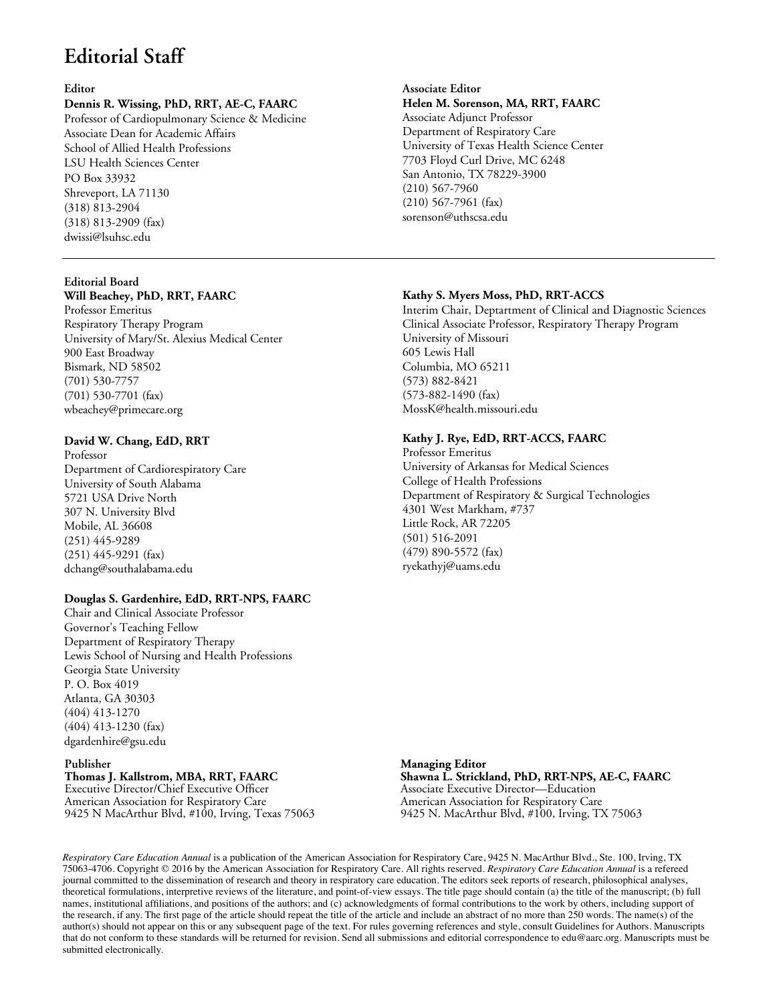# **Editorial Staff**

#### **Editor**

# **Dennis R. Wissing, PhD, RRT, AE-C, FAARC**

Professor of Cardiopulmonary Science & Medicine Associate Dean for Academic Affairs School of Allied Health Professions LSU Health Sciences Center PO Box 33932 Shreveport, LA 71130 (318) 813-2904 (318) 813-2909 (fax) dwissi@lsuhsc.edu

# **Editorial Board**

# **Will Beachey, PhD, RRT, FAARC**

Professor Emeritus Respiratory Therapy Program University of Mary/St. Alexius Medical Center 900 East Broadway Bismark, ND 58502 (701) 530-7757 (701) 530-7701 (fax) wbeachey@primecare.org

## **David W. Chang, EdD, RRT**

Professor Department of Cardiorespiratory Care University of South Alabama 5721 USA Drive North 307 N. University Blvd Mobile, AL 36608 (251) 445-9289 (251) 445-9291 (fax) dchang@southalabama.edu

#### **Douglas S. Gardenhire, EdD, RRT-NPS, FAARC**

Chair and Clinical Associate Professor Governor's Teaching Fellow Department of Respiratory Therapy Lewis School of Nursing and Health Professions Georgia State University P. O. Box 4019 Atlanta, GA 30303 (404) 413-1270 (404) 413-1230 (fax) dgardenhire@gsu.edu

#### **Publisher Thomas J. Kallstrom, MBA, RRT, FAARC**

Executive Director/Chief Executive Officer American Association for Respiratory Care 9425 N MacArthur Blvd, #100, Irving, Texas 75063

# **Associate Editor Helen M. Sorenson, MA, RRT, FAARC** Associate Adjunct Professor Department of Respiratory Care University of Texas Health Science Center 7703 Floyd Curl Drive, MC 6248 San Antonio, TX 78229-3900 (210) 567-7960 (210) 567-7961 (fax) sorenson@uthscsa.edu

#### **Kathy S. Myers Moss, PhD, RRT-ACCS**

Interim Chair, Deptartment of Clinical and Diagnostic Sciences Clinical Associate Professor, Respiratory Therapy Program University of Missouri 605 Lewis Hall Columbia, MO 65211 (573) 882-8421 (573-882-1490 (fax) MossK@health.missouri.edu

# **Kathy J. Rye, EdD, RRT-ACCS, FAARC**

Professor Emeritus University of Arkansas for Medical Sciences College of Health Professions Department of Respiratory & Surgical Technologies 4301 West Markham, #737 Little Rock, AR 72205 (501) 516-2091 (479) 890-5572 (fax) ryekathyj@uams.edu

**Managing Editor Shawna L. Strickland, PhD, RRT-NPS, AE-C, FAARC** Associate Executive Director—Education American Association for Respiratory Care 9425 N. MacArthur Blvd, #100, Irving, TX 75063

*Respiratory Care Education Annual* is a publication of the American Association for Respiratory Care, 9425 N. MacArthur Blvd., Ste. 100, Irving, TX 75063-4706. Copyright © 2016 by the American Association for Respiratory Care. All rights reserved. *Respiratory Care Education Annual* is a refereed journal committed to the dissemination of research and theory in respiratory care education. The editors seek reports of research, philosophical analyses, theoretical formulations, interpretive reviews of the literature, and point-of-view essays. The title page should contain (a) the title of the manuscript; (b) full names, institutional affiliations, and positions of the authors; and (c) acknowledgments of formal contributions to the work by others, including support of the research, if any. The first page of the article should repeat the title of the article and include an abstract of no more than 250 words. The name(s) of the author(s) should not appear on this or any subsequent page of the text. For rules governing references and style, consult Guidelines for Authors. Manuscripts that do not conform to these standards will be returned for revision. Send all submissions and editorial correspondence to edu@aarc.org. Manuscripts must be submitted electronically.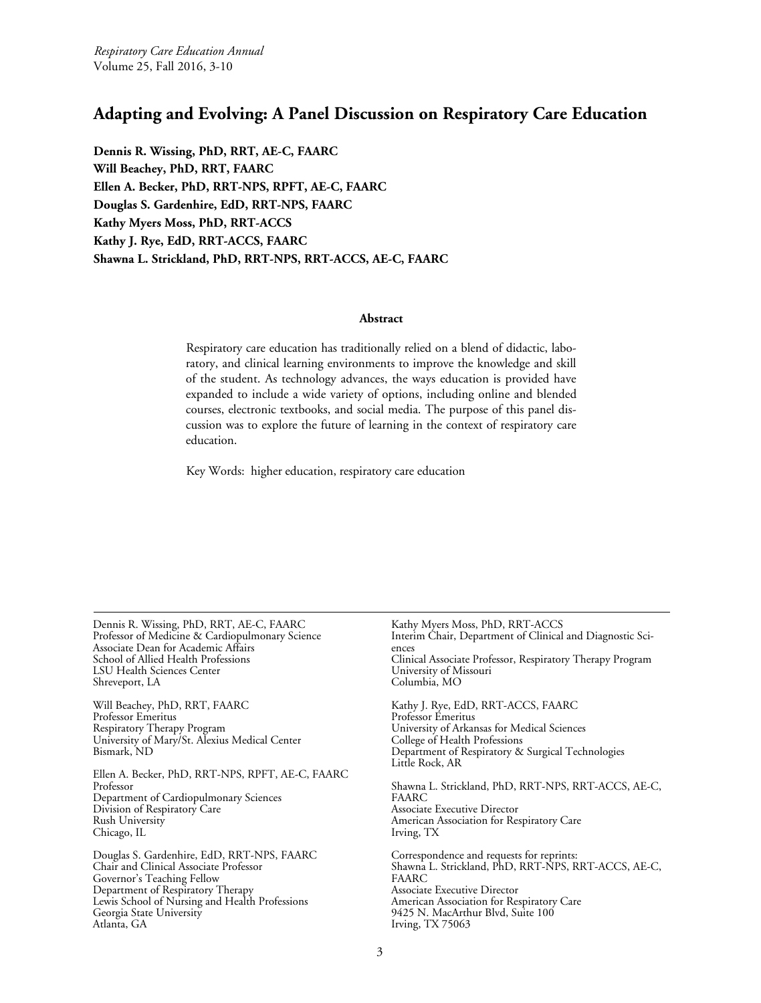# <span id="page-2-0"></span>**Adapting and Evolving: A Panel Discussion on Respiratory Care Education**

**Dennis R. Wissing, PhD, RRT, AE-C, FAARC Will Beachey, PhD, RRT, FAARC Ellen A. Becker, PhD, RRT-NPS, RPFT, AE-C, FAARC Douglas S. Gardenhire, EdD, RRT-NPS, FAARC Kathy Myers Moss, PhD, RRT-ACCS Kathy J. Rye, EdD, RRT-ACCS, FAARC Shawna L. Strickland, PhD, RRT-NPS, RRT-ACCS, AE-C, FAARC**

# **Abstract**

Respiratory care education has traditionally relied on a blend of didactic, laboratory, and clinical learning environments to improve the knowledge and skill of the student. As technology advances, the ways education is provided have expanded to include a wide variety of options, including online and blended courses, electronic textbooks, and social media. The purpose of this panel discussion was to explore the future of learning in the context of respiratory care education.

Key Words: higher education, respiratory care education

Dennis R. Wissing, PhD, RRT, AE-C, FAARC Professor of Medicine & Cardiopulmonary Science Associate Dean for Academic Affairs School of Allied Health Professions LSU Health Sciences Center Shreveport, LA

Will Beachey, PhD, RRT, FAARC Professor Emeritus Respiratory Therapy Program University of Mary/St. Alexius Medical Center Bismark, ND

Ellen A. Becker, PhD, RRT-NPS, RPFT, AE-C, FAARC Professor Department of Cardiopulmonary Sciences Division of Respiratory Care Rush University Chicago, IL

Douglas S. Gardenhire, EdD, RRT-NPS, FAARC Chair and Clinical Associate Professor Governor's Teaching Fellow Department of Respiratory Therapy Lewis School of Nursing and Health Professions Georgia State University Atlanta, GA

Kathy Myers Moss, PhD, RRT-ACCS Interim Chair, Department of Clinical and Diagnostic Sci- ences Clinical Associate Professor, Respiratory Therapy Program University of Missouri Columbia, MO Kathy J. Rye, EdD, RRT-ACCS, FAARC Professor Emeritus University of Arkansas for Medical Sciences College of Health Professions Department of Respiratory & Surgical Technologies Little Rock, AR Shawna L. Strickland, PhD, RRT-NPS, RRT-ACCS, AE-C, FAARC Associate Executive Director American Association for Respiratory Care Irving, TX Correspondence and requests for reprints: Shawna L. Strickland, PhD, RRT-NPS, RRT-ACCS, AE-C, FAARC Associate Executive Director American Association for Respiratory Care 9425 N. MacArthur Blvd, Suite 100 Irving, TX 75063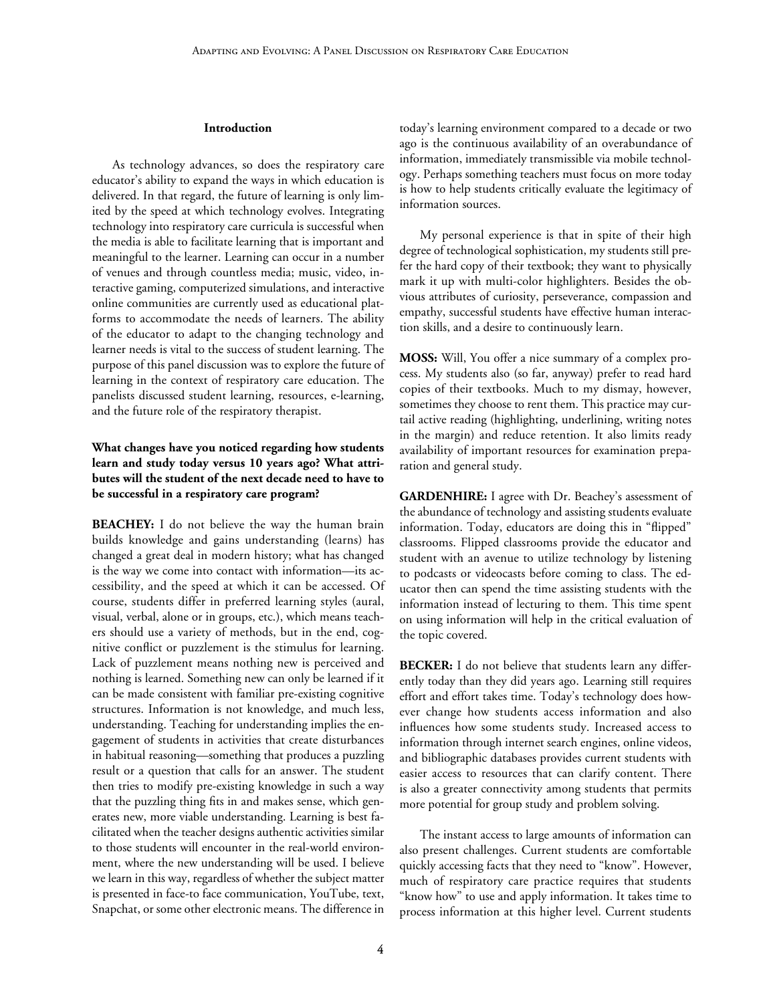#### **Introduction**

As technology advances, so does the respiratory care educator's ability to expand the ways in which education is delivered. In that regard, the future of learning is only limited by the speed at which technology evolves. Integrating technology into respiratory care curricula is successful when the media is able to facilitate learning that is important and meaningful to the learner. Learning can occur in a number of venues and through countless media; music, video, interactive gaming, computerized simulations, and interactive online communities are currently used as educational platforms to accommodate the needs of learners. The ability of the educator to adapt to the changing technology and learner needs is vital to the success of student learning. The purpose of this panel discussion was to explore the future of learning in the context of respiratory care education. The panelists discussed student learning, resources, e-learning, and the future role of the respiratory therapist.

# **What changes have you noticed regarding how students learn and study today versus 10 years ago? What attributes will the student of the next decade need to have to be successful in a respiratory care program?**

**BEACHEY:** I do not believe the way the human brain builds knowledge and gains understanding (learns) has changed a great deal in modern history; what has changed is the way we come into contact with information—its accessibility, and the speed at which it can be accessed. Of course, students differ in preferred learning styles (aural, visual, verbal, alone or in groups, etc.), which means teachers should use a variety of methods, but in the end, cognitive conflict or puzzlement is the stimulus for learning. Lack of puzzlement means nothing new is perceived and nothing is learned. Something new can only be learned if it can be made consistent with familiar pre-existing cognitive structures. Information is not knowledge, and much less, understanding. Teaching for understanding implies the engagement of students in activities that create disturbances in habitual reasoning—something that produces a puzzling result or a question that calls for an answer. The student then tries to modify pre-existing knowledge in such a way that the puzzling thing fits in and makes sense, which generates new, more viable understanding. Learning is best facilitated when the teacher designs authentic activities similar to those students will encounter in the real-world environment, where the new understanding will be used. I believe we learn in this way, regardless of whether the subject matter is presented in face-to face communication, YouTube, text, Snapchat, or some other electronic means. The difference in

today's learning environment compared to a decade or two ago is the continuous availability of an overabundance of information, immediately transmissible via mobile technology. Perhaps something teachers must focus on more today is how to help students critically evaluate the legitimacy of information sources.

My personal experience is that in spite of their high degree of technological sophistication, my students still prefer the hard copy of their textbook; they want to physically mark it up with multi-color highlighters. Besides the obvious attributes of curiosity, perseverance, compassion and empathy, successful students have effective human interaction skills, and a desire to continuously learn.

**MOSS:** Will, You offer a nice summary of a complex process. My students also (so far, anyway) prefer to read hard copies of their textbooks. Much to my dismay, however, sometimes they choose to rent them. This practice may curtail active reading (highlighting, underlining, writing notes in the margin) and reduce retention. It also limits ready availability of important resources for examination preparation and general study.

**GARDENHIRE:** I agree with Dr. Beachey's assessment of the abundance of technology and assisting students evaluate information. Today, educators are doing this in "flipped" classrooms. Flipped classrooms provide the educator and student with an avenue to utilize technology by listening to podcasts or videocasts before coming to class. The educator then can spend the time assisting students with the information instead of lecturing to them. This time spent on using information will help in the critical evaluation of the topic covered.

**BECKER:** I do not believe that students learn any differently today than they did years ago. Learning still requires effort and effort takes time. Today's technology does however change how students access information and also influences how some students study. Increased access to information through internet search engines, online videos, and bibliographic databases provides current students with easier access to resources that can clarify content. There is also a greater connectivity among students that permits more potential for group study and problem solving.

The instant access to large amounts of information can also present challenges. Current students are comfortable quickly accessing facts that they need to "know". However, much of respiratory care practice requires that students "know how" to use and apply information. It takes time to process information at this higher level. Current students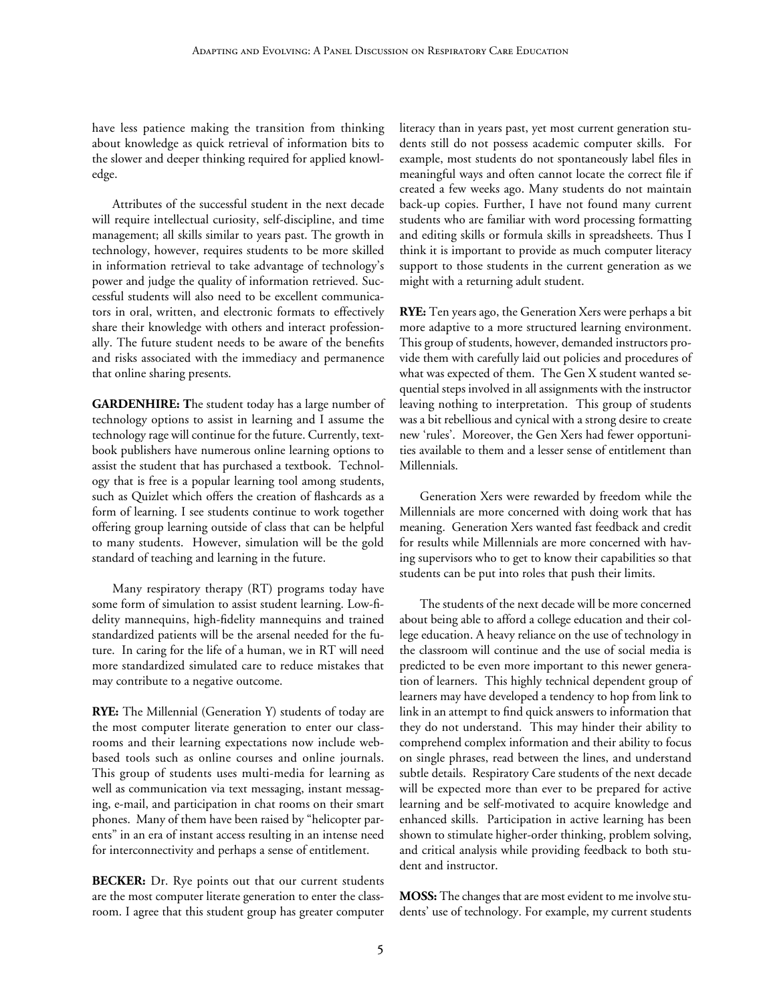have less patience making the transition from thinking about knowledge as quick retrieval of information bits to the slower and deeper thinking required for applied knowledge.

Attributes of the successful student in the next decade will require intellectual curiosity, self-discipline, and time management; all skills similar to years past. The growth in technology, however, requires students to be more skilled in information retrieval to take advantage of technology's power and judge the quality of information retrieved. Successful students will also need to be excellent communicators in oral, written, and electronic formats to effectively share their knowledge with others and interact professionally. The future student needs to be aware of the benefits and risks associated with the immediacy and permanence that online sharing presents.

**GARDENHIRE: T**he student today has a large number of technology options to assist in learning and I assume the technology rage will continue for the future. Currently, textbook publishers have numerous online learning options to assist the student that has purchased a textbook. Technology that is free is a popular learning tool among students, such as Quizlet which offers the creation of flashcards as a form of learning. I see students continue to work together offering group learning outside of class that can be helpful to many students. However, simulation will be the gold standard of teaching and learning in the future.

Many respiratory therapy (RT) programs today have some form of simulation to assist student learning. Low-fidelity mannequins, high-fidelity mannequins and trained standardized patients will be the arsenal needed for the future. In caring for the life of a human, we in RT will need more standardized simulated care to reduce mistakes that may contribute to a negative outcome.

**RYE:** The Millennial (Generation Y) students of today are the most computer literate generation to enter our classrooms and their learning expectations now include webbased tools such as online courses and online journals. This group of students uses multi-media for learning as well as communication via text messaging, instant messaging, e-mail, and participation in chat rooms on their smart phones. Many of them have been raised by "helicopter parents" in an era of instant access resulting in an intense need for interconnectivity and perhaps a sense of entitlement.

**BECKER:** Dr. Rye points out that our current students are the most computer literate generation to enter the classroom. I agree that this student group has greater computer literacy than in years past, yet most current generation students still do not possess academic computer skills. For example, most students do not spontaneously label files in meaningful ways and often cannot locate the correct file if created a few weeks ago. Many students do not maintain back-up copies. Further, I have not found many current students who are familiar with word processing formatting and editing skills or formula skills in spreadsheets. Thus I think it is important to provide as much computer literacy support to those students in the current generation as we might with a returning adult student.

**RYE:** Ten years ago, the Generation Xers were perhaps a bit more adaptive to a more structured learning environment. This group of students, however, demanded instructors provide them with carefully laid out policies and procedures of what was expected of them. The Gen X student wanted sequential steps involved in all assignments with the instructor leaving nothing to interpretation. This group of students was a bit rebellious and cynical with a strong desire to create new 'rules'. Moreover, the Gen Xers had fewer opportunities available to them and a lesser sense of entitlement than Millennials.

Generation Xers were rewarded by freedom while the Millennials are more concerned with doing work that has meaning. Generation Xers wanted fast feedback and credit for results while Millennials are more concerned with having supervisors who to get to know their capabilities so that students can be put into roles that push their limits.

The students of the next decade will be more concerned about being able to afford a college education and their college education. A heavy reliance on the use of technology in the classroom will continue and the use of social media is predicted to be even more important to this newer generation of learners. This highly technical dependent group of learners may have developed a tendency to hop from link to link in an attempt to find quick answers to information that they do not understand. This may hinder their ability to comprehend complex information and their ability to focus on single phrases, read between the lines, and understand subtle details. Respiratory Care students of the next decade will be expected more than ever to be prepared for active learning and be self-motivated to acquire knowledge and enhanced skills. Participation in active learning has been shown to stimulate higher-order thinking, problem solving, and critical analysis while providing feedback to both student and instructor.

**MOSS:** The changes that are most evident to me involve students' use of technology. For example, my current students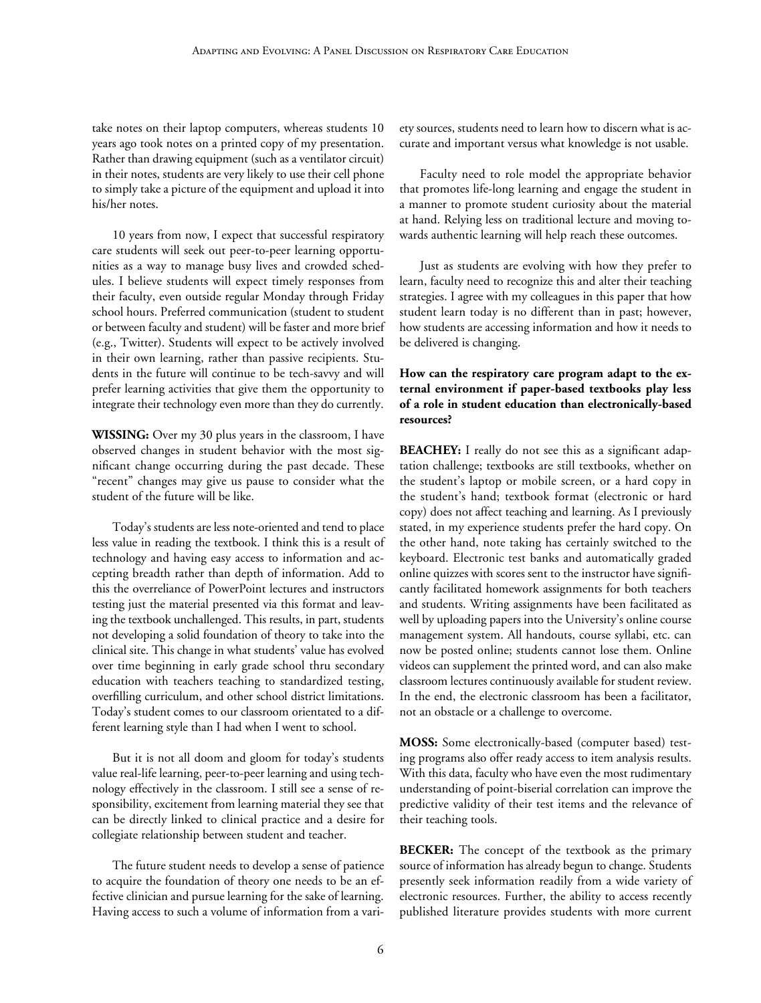take notes on their laptop computers, whereas students 10 years ago took notes on a printed copy of my presentation. Rather than drawing equipment (such as a ventilator circuit) in their notes, students are very likely to use their cell phone to simply take a picture of the equipment and upload it into his/her notes.

10 years from now, I expect that successful respiratory care students will seek out peer-to-peer learning opportunities as a way to manage busy lives and crowded schedules. I believe students will expect timely responses from their faculty, even outside regular Monday through Friday school hours. Preferred communication (student to student or between faculty and student) will be faster and more brief (e.g., Twitter). Students will expect to be actively involved in their own learning, rather than passive recipients. Students in the future will continue to be tech-savvy and will prefer learning activities that give them the opportunity to integrate their technology even more than they do currently.

**WISSING:** Over my 30 plus years in the classroom, I have observed changes in student behavior with the most significant change occurring during the past decade. These "recent" changes may give us pause to consider what the student of the future will be like.

Today's students are less note-oriented and tend to place less value in reading the textbook. I think this is a result of technology and having easy access to information and accepting breadth rather than depth of information. Add to this the overreliance of PowerPoint lectures and instructors testing just the material presented via this format and leaving the textbook unchallenged. This results, in part, students not developing a solid foundation of theory to take into the clinical site. This change in what students' value has evolved over time beginning in early grade school thru secondary education with teachers teaching to standardized testing, overfilling curriculum, and other school district limitations. Today's student comes to our classroom orientated to a different learning style than I had when I went to school.

But it is not all doom and gloom for today's students value real-life learning, peer-to-peer learning and using technology effectively in the classroom. I still see a sense of responsibility, excitement from learning material they see that can be directly linked to clinical practice and a desire for collegiate relationship between student and teacher.

The future student needs to develop a sense of patience to acquire the foundation of theory one needs to be an effective clinician and pursue learning for the sake of learning. Having access to such a volume of information from a variety sources, students need to learn how to discern what is accurate and important versus what knowledge is not usable.

Faculty need to role model the appropriate behavior that promotes life-long learning and engage the student in a manner to promote student curiosity about the material at hand. Relying less on traditional lecture and moving towards authentic learning will help reach these outcomes.

Just as students are evolving with how they prefer to learn, faculty need to recognize this and alter their teaching strategies. I agree with my colleagues in this paper that how student learn today is no different than in past; however, how students are accessing information and how it needs to be delivered is changing.

# **How can the respiratory care program adapt to the external environment if paper-based textbooks play less of a role in student education than electronically-based resources?**

**BEACHEY:** I really do not see this as a significant adaptation challenge; textbooks are still textbooks, whether on the student's laptop or mobile screen, or a hard copy in the student's hand; textbook format (electronic or hard copy) does not affect teaching and learning. As I previously stated, in my experience students prefer the hard copy. On the other hand, note taking has certainly switched to the keyboard. Electronic test banks and automatically graded online quizzes with scores sent to the instructor have significantly facilitated homework assignments for both teachers and students. Writing assignments have been facilitated as well by uploading papers into the University's online course management system. All handouts, course syllabi, etc. can now be posted online; students cannot lose them. Online videos can supplement the printed word, and can also make classroom lectures continuously available for student review. In the end, the electronic classroom has been a facilitator, not an obstacle or a challenge to overcome.

**MOSS:** Some electronically-based (computer based) testing programs also offer ready access to item analysis results. With this data, faculty who have even the most rudimentary understanding of point-biserial correlation can improve the predictive validity of their test items and the relevance of their teaching tools.

**BECKER:** The concept of the textbook as the primary source of information has already begun to change. Students presently seek information readily from a wide variety of electronic resources. Further, the ability to access recently published literature provides students with more current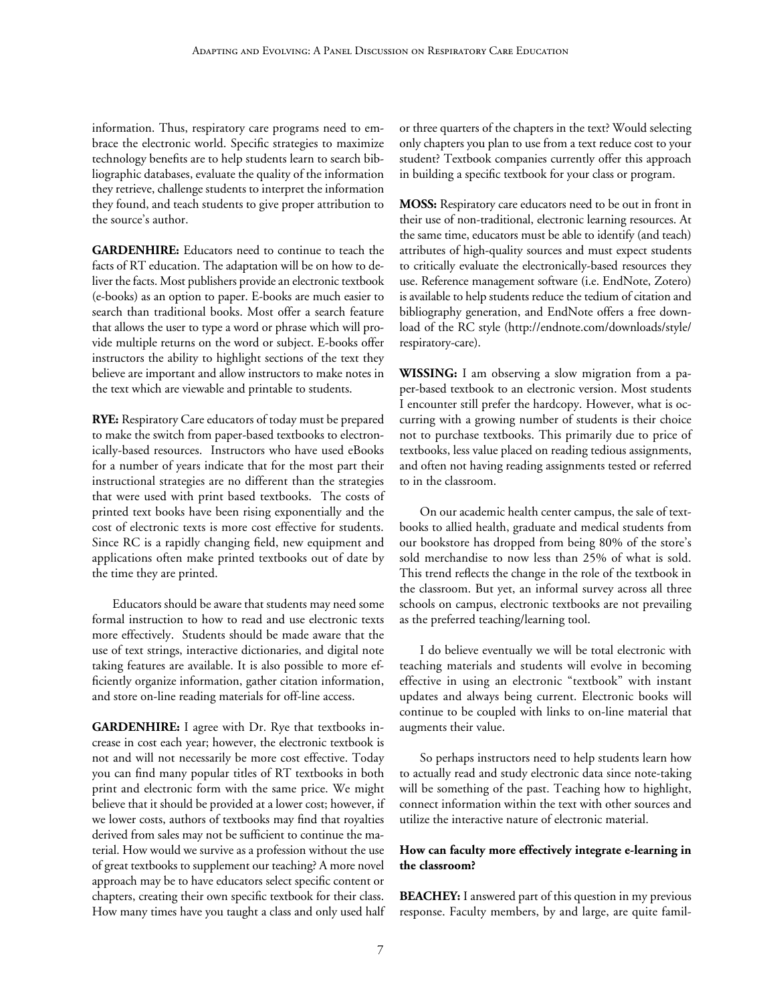information. Thus, respiratory care programs need to embrace the electronic world. Specific strategies to maximize technology benefits are to help students learn to search bibliographic databases, evaluate the quality of the information they retrieve, challenge students to interpret the information they found, and teach students to give proper attribution to the source's author.

**GARDENHIRE:** Educators need to continue to teach the facts of RT education. The adaptation will be on how to deliver the facts. Most publishers provide an electronic textbook (e-books) as an option to paper. E-books are much easier to search than traditional books. Most offer a search feature that allows the user to type a word or phrase which will provide multiple returns on the word or subject. E-books offer instructors the ability to highlight sections of the text they believe are important and allow instructors to make notes in the text which are viewable and printable to students.

**RYE:** Respiratory Care educators of today must be prepared to make the switch from paper-based textbooks to electronically-based resources. Instructors who have used eBooks for a number of years indicate that for the most part their instructional strategies are no different than the strategies that were used with print based textbooks. The costs of printed text books have been rising exponentially and the cost of electronic texts is more cost effective for students. Since RC is a rapidly changing field, new equipment and applications often make printed textbooks out of date by the time they are printed.

Educators should be aware that students may need some formal instruction to how to read and use electronic texts more effectively. Students should be made aware that the use of text strings, interactive dictionaries, and digital note taking features are available. It is also possible to more efficiently organize information, gather citation information, and store on-line reading materials for off-line access.

**GARDENHIRE:** I agree with Dr. Rye that textbooks increase in cost each year; however, the electronic textbook is not and will not necessarily be more cost effective. Today you can find many popular titles of RT textbooks in both print and electronic form with the same price. We might believe that it should be provided at a lower cost; however, if we lower costs, authors of textbooks may find that royalties derived from sales may not be sufficient to continue the material. How would we survive as a profession without the use of great textbooks to supplement our teaching? A more novel approach may be to have educators select specific content or chapters, creating their own specific textbook for their class. How many times have you taught a class and only used half or three quarters of the chapters in the text? Would selecting only chapters you plan to use from a text reduce cost to your student? Textbook companies currently offer this approach in building a specific textbook for your class or program.

**MOSS:** Respiratory care educators need to be out in front in their use of non-traditional, electronic learning resources. At the same time, educators must be able to identify (and teach) attributes of high-quality sources and must expect students to critically evaluate the electronically-based resources they use. Reference management software (i.e. EndNote, Zotero) is available to help students reduce the tedium of citation and bibliography generation, and EndNote offers a free download of the RC style (http://endnote.com/downloads/style/ respiratory-care).

**WISSING:** I am observing a slow migration from a paper-based textbook to an electronic version. Most students I encounter still prefer the hardcopy. However, what is occurring with a growing number of students is their choice not to purchase textbooks. This primarily due to price of textbooks, less value placed on reading tedious assignments, and often not having reading assignments tested or referred to in the classroom.

On our academic health center campus, the sale of textbooks to allied health, graduate and medical students from our bookstore has dropped from being 80% of the store's sold merchandise to now less than 25% of what is sold. This trend reflects the change in the role of the textbook in the classroom. But yet, an informal survey across all three schools on campus, electronic textbooks are not prevailing as the preferred teaching/learning tool.

I do believe eventually we will be total electronic with teaching materials and students will evolve in becoming effective in using an electronic "textbook" with instant updates and always being current. Electronic books will continue to be coupled with links to on-line material that augments their value.

So perhaps instructors need to help students learn how to actually read and study electronic data since note-taking will be something of the past. Teaching how to highlight, connect information within the text with other sources and utilize the interactive nature of electronic material.

# **How can faculty more effectively integrate e-learning in the classroom?**

**BEACHEY:** I answered part of this question in my previous response. Faculty members, by and large, are quite famil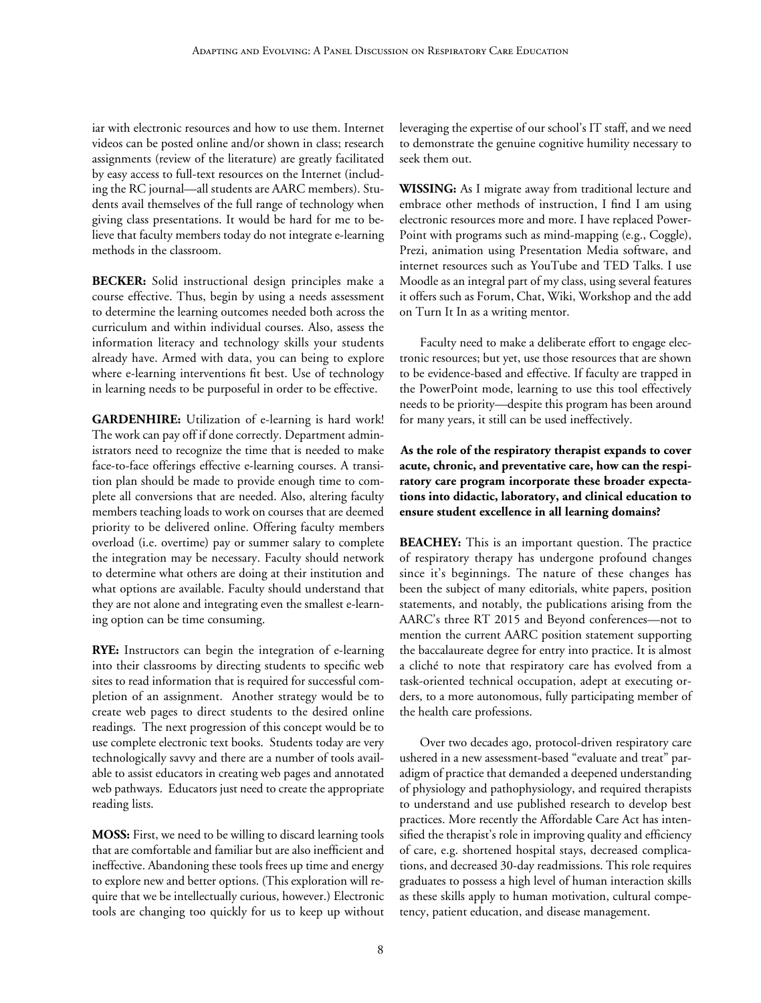iar with electronic resources and how to use them. Internet videos can be posted online and/or shown in class; research assignments (review of the literature) are greatly facilitated by easy access to full-text resources on the Internet (including the RC journal—all students are AARC members). Students avail themselves of the full range of technology when giving class presentations. It would be hard for me to believe that faculty members today do not integrate e-learning methods in the classroom.

**BECKER:** Solid instructional design principles make a course effective. Thus, begin by using a needs assessment to determine the learning outcomes needed both across the curriculum and within individual courses. Also, assess the information literacy and technology skills your students already have. Armed with data, you can being to explore where e-learning interventions fit best. Use of technology in learning needs to be purposeful in order to be effective.

**GARDENHIRE:** Utilization of e-learning is hard work! The work can pay off if done correctly. Department administrators need to recognize the time that is needed to make face-to-face offerings effective e-learning courses. A transition plan should be made to provide enough time to complete all conversions that are needed. Also, altering faculty members teaching loads to work on courses that are deemed priority to be delivered online. Offering faculty members overload (i.e. overtime) pay or summer salary to complete the integration may be necessary. Faculty should network to determine what others are doing at their institution and what options are available. Faculty should understand that they are not alone and integrating even the smallest e-learning option can be time consuming.

**RYE:** Instructors can begin the integration of e-learning into their classrooms by directing students to specific web sites to read information that is required for successful completion of an assignment. Another strategy would be to create web pages to direct students to the desired online readings. The next progression of this concept would be to use complete electronic text books. Students today are very technologically savvy and there are a number of tools available to assist educators in creating web pages and annotated web pathways. Educators just need to create the appropriate reading lists.

**MOSS:** First, we need to be willing to discard learning tools that are comfortable and familiar but are also inefficient and ineffective. Abandoning these tools frees up time and energy to explore new and better options. (This exploration will require that we be intellectually curious, however.) Electronic tools are changing too quickly for us to keep up without leveraging the expertise of our school's IT staff, and we need to demonstrate the genuine cognitive humility necessary to seek them out.

**WISSING:** As I migrate away from traditional lecture and embrace other methods of instruction, I find I am using electronic resources more and more. I have replaced Power-Point with programs such as mind-mapping (e.g., Coggle), Prezi, animation using Presentation Media software, and internet resources such as YouTube and TED Talks. I use Moodle as an integral part of my class, using several features it offers such as Forum, Chat, Wiki, Workshop and the add on Turn It In as a writing mentor.

Faculty need to make a deliberate effort to engage electronic resources; but yet, use those resources that are shown to be evidence-based and effective. If faculty are trapped in the PowerPoint mode, learning to use this tool effectively needs to be priority—despite this program has been around for many years, it still can be used ineffectively.

**As the role of the respiratory therapist expands to cover acute, chronic, and preventative care, how can the respiratory care program incorporate these broader expectations into didactic, laboratory, and clinical education to ensure student excellence in all learning domains?**

**BEACHEY:** This is an important question. The practice of respiratory therapy has undergone profound changes since it's beginnings. The nature of these changes has been the subject of many editorials, white papers, position statements, and notably, the publications arising from the AARC's three RT 2015 and Beyond conferences—not to mention the current AARC position statement supporting the baccalaureate degree for entry into practice. It is almost a cliché to note that respiratory care has evolved from a task-oriented technical occupation, adept at executing orders, to a more autonomous, fully participating member of the health care professions.

Over two decades ago, protocol-driven respiratory care ushered in a new assessment-based "evaluate and treat" paradigm of practice that demanded a deepened understanding of physiology and pathophysiology, and required therapists to understand and use published research to develop best practices. More recently the Affordable Care Act has intensified the therapist's role in improving quality and efficiency of care, e.g. shortened hospital stays, decreased complications, and decreased 30-day readmissions. This role requires graduates to possess a high level of human interaction skills as these skills apply to human motivation, cultural competency, patient education, and disease management.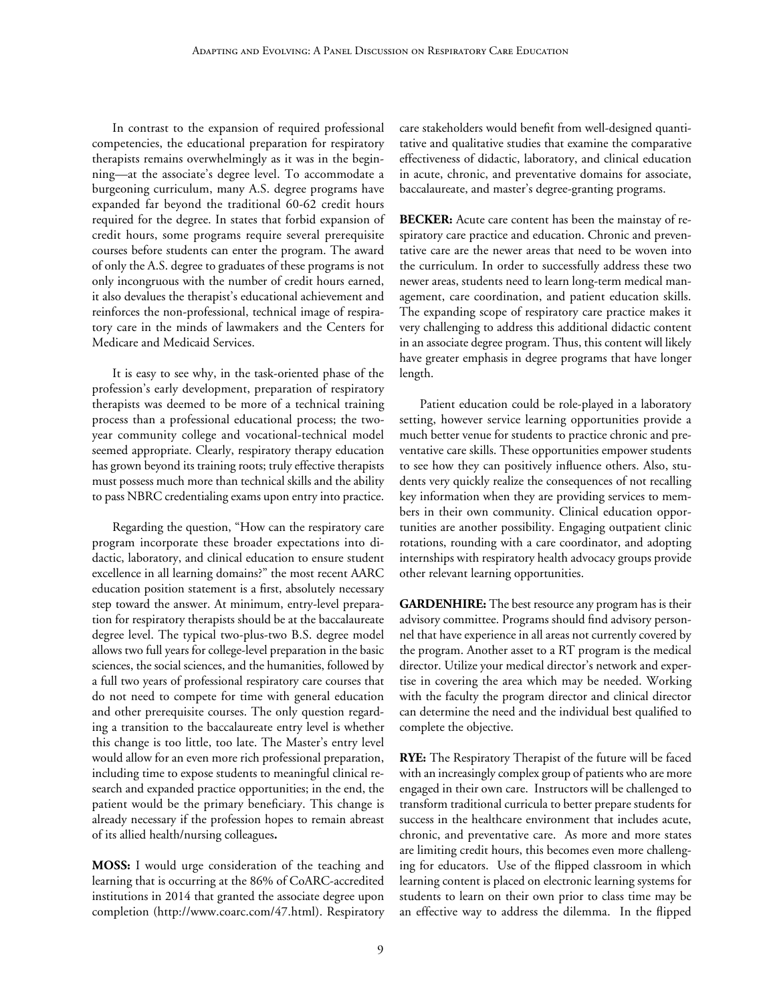In contrast to the expansion of required professional competencies, the educational preparation for respiratory therapists remains overwhelmingly as it was in the beginning—at the associate's degree level. To accommodate a burgeoning curriculum, many A.S. degree programs have expanded far beyond the traditional 60-62 credit hours required for the degree. In states that forbid expansion of credit hours, some programs require several prerequisite courses before students can enter the program. The award of only the A.S. degree to graduates of these programs is not only incongruous with the number of credit hours earned, it also devalues the therapist's educational achievement and reinforces the non-professional, technical image of respiratory care in the minds of lawmakers and the Centers for Medicare and Medicaid Services.

It is easy to see why, in the task-oriented phase of the profession's early development, preparation of respiratory therapists was deemed to be more of a technical training process than a professional educational process; the twoyear community college and vocational-technical model seemed appropriate. Clearly, respiratory therapy education has grown beyond its training roots; truly effective therapists must possess much more than technical skills and the ability to pass NBRC credentialing exams upon entry into practice.

Regarding the question, "How can the respiratory care program incorporate these broader expectations into didactic, laboratory, and clinical education to ensure student excellence in all learning domains?" the most recent AARC education position statement is a first, absolutely necessary step toward the answer. At minimum, entry-level preparation for respiratory therapists should be at the baccalaureate degree level. The typical two-plus-two B.S. degree model allows two full years for college-level preparation in the basic sciences, the social sciences, and the humanities, followed by a full two years of professional respiratory care courses that do not need to compete for time with general education and other prerequisite courses. The only question regarding a transition to the baccalaureate entry level is whether this change is too little, too late. The Master's entry level would allow for an even more rich professional preparation, including time to expose students to meaningful clinical research and expanded practice opportunities; in the end, the patient would be the primary beneficiary. This change is already necessary if the profession hopes to remain abreast of its allied health/nursing colleagues**.** 

**MOSS:** I would urge consideration of the teaching and learning that is occurring at the 86% of CoARC-accredited institutions in 2014 that granted the associate degree upon completion (http://www.coarc.com/47.html). Respiratory

care stakeholders would benefit from well-designed quantitative and qualitative studies that examine the comparative effectiveness of didactic, laboratory, and clinical education in acute, chronic, and preventative domains for associate, baccalaureate, and master's degree-granting programs.

**BECKER:** Acute care content has been the mainstay of respiratory care practice and education. Chronic and preventative care are the newer areas that need to be woven into the curriculum. In order to successfully address these two newer areas, students need to learn long-term medical management, care coordination, and patient education skills. The expanding scope of respiratory care practice makes it very challenging to address this additional didactic content in an associate degree program. Thus, this content will likely have greater emphasis in degree programs that have longer length.

Patient education could be role-played in a laboratory setting, however service learning opportunities provide a much better venue for students to practice chronic and preventative care skills. These opportunities empower students to see how they can positively influence others. Also, students very quickly realize the consequences of not recalling key information when they are providing services to members in their own community. Clinical education opportunities are another possibility. Engaging outpatient clinic rotations, rounding with a care coordinator, and adopting internships with respiratory health advocacy groups provide other relevant learning opportunities.

**GARDENHIRE:** The best resource any program has is their advisory committee. Programs should find advisory personnel that have experience in all areas not currently covered by the program. Another asset to a RT program is the medical director. Utilize your medical director's network and expertise in covering the area which may be needed. Working with the faculty the program director and clinical director can determine the need and the individual best qualified to complete the objective.

**RYE:** The Respiratory Therapist of the future will be faced with an increasingly complex group of patients who are more engaged in their own care. Instructors will be challenged to transform traditional curricula to better prepare students for success in the healthcare environment that includes acute, chronic, and preventative care. As more and more states are limiting credit hours, this becomes even more challenging for educators. Use of the flipped classroom in which learning content is placed on electronic learning systems for students to learn on their own prior to class time may be an effective way to address the dilemma. In the flipped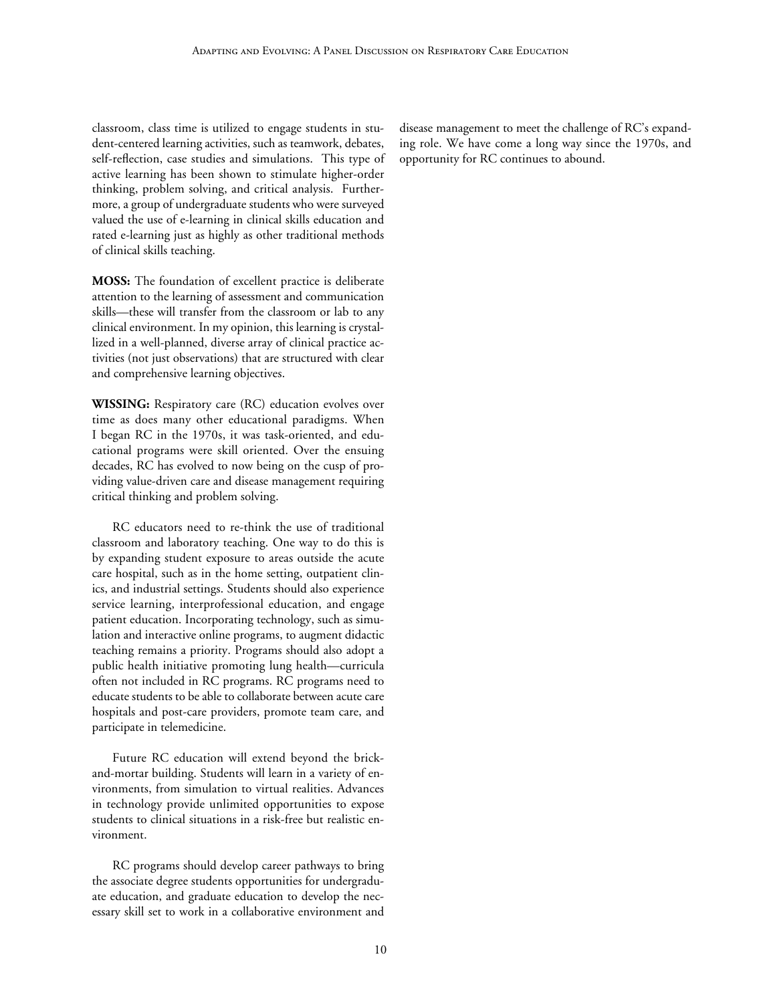classroom, class time is utilized to engage students in student-centered learning activities, such as teamwork, debates, self-reflection, case studies and simulations. This type of active learning has been shown to stimulate higher-order thinking, problem solving, and critical analysis. Furthermore, a group of undergraduate students who were surveyed valued the use of e-learning in clinical skills education and rated e-learning just as highly as other traditional methods of clinical skills teaching.

**MOSS:** The foundation of excellent practice is deliberate attention to the learning of assessment and communication skills—these will transfer from the classroom or lab to any clinical environment. In my opinion, this learning is crystallized in a well-planned, diverse array of clinical practice activities (not just observations) that are structured with clear and comprehensive learning objectives.

**WISSING:** Respiratory care (RC) education evolves over time as does many other educational paradigms. When I began RC in the 1970s, it was task-oriented, and educational programs were skill oriented. Over the ensuing decades, RC has evolved to now being on the cusp of providing value-driven care and disease management requiring critical thinking and problem solving.

RC educators need to re-think the use of traditional classroom and laboratory teaching. One way to do this is by expanding student exposure to areas outside the acute care hospital, such as in the home setting, outpatient clinics, and industrial settings. Students should also experience service learning, interprofessional education, and engage patient education. Incorporating technology, such as simulation and interactive online programs, to augment didactic teaching remains a priority. Programs should also adopt a public health initiative promoting lung health—curricula often not included in RC programs. RC programs need to educate students to be able to collaborate between acute care hospitals and post-care providers, promote team care, and participate in telemedicine.

Future RC education will extend beyond the brickand-mortar building. Students will learn in a variety of environments, from simulation to virtual realities. Advances in technology provide unlimited opportunities to expose students to clinical situations in a risk-free but realistic environment.

RC programs should develop career pathways to bring the associate degree students opportunities for undergraduate education, and graduate education to develop the necessary skill set to work in a collaborative environment and

disease management to meet the challenge of RC's expanding role. We have come a long way since the 1970s, and opportunity for RC continues to abound.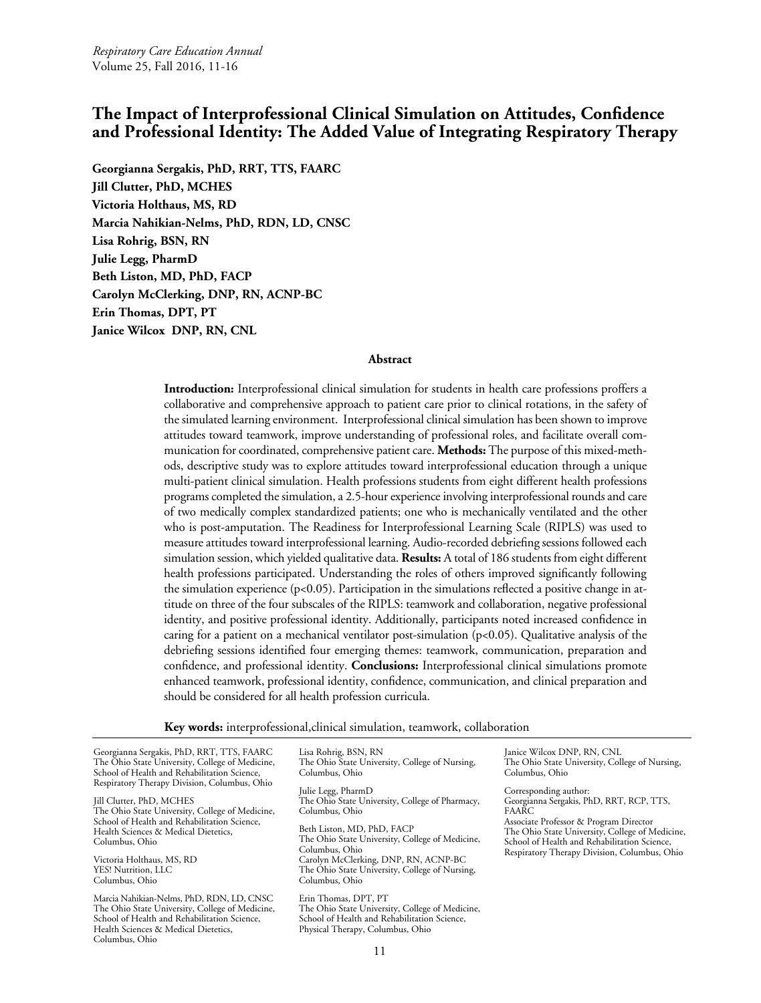# <span id="page-10-0"></span>**The Impact of Interprofessional Clinical Simulation on Attitudes, Confidence and Professional Identity: The Added Value of Integrating Respiratory Therapy**

**Georgianna Sergakis, PhD, RRT, TTS, FAARC Jill Clutter, PhD, MCHES Victoria Holthaus, MS, RD Marcia Nahikian-Nelms, PhD, RDN, LD, CNSC Lisa Rohrig, BSN, RN Julie Legg, PharmD Beth Liston, MD, PhD, FACP Carolyn McClerking, DNP, RN, ACNP-BC Erin Thomas, DPT, PT Janice Wilcox DNP, RN, CNL**

#### **Abstract**

**Introduction:** Interprofessional clinical simulation for students in health care professions proffers a collaborative and comprehensive approach to patient care prior to clinical rotations, in the safety of the simulated learning environment. Interprofessional clinical simulation has been shown to improve attitudes toward teamwork, improve understanding of professional roles, and facilitate overall communication for coordinated, comprehensive patient care. **Methods:** The purpose of this mixed-methods, descriptive study was to explore attitudes toward interprofessional education through a unique multi-patient clinical simulation. Health professions students from eight different health professions programs completed the simulation, a 2.5-hour experience involving interprofessional rounds and care of two medically complex standardized patients; one who is mechanically ventilated and the other who is post-amputation. The Readiness for Interprofessional Learning Scale (RIPLS) was used to measure attitudes toward interprofessional learning. Audio-recorded debriefing sessions followed each simulation session, which yielded qualitative data. **Results:** A total of 186 students from eight different health professions participated. Understanding the roles of others improved significantly following the simulation experience  $(p<0.05)$ . Participation in the simulations reflected a positive change in attitude on three of the four subscales of the RIPLS: teamwork and collaboration, negative professional identity, and positive professional identity. Additionally, participants noted increased confidence in caring for a patient on a mechanical ventilator post-simulation  $(p<0.05)$ . Qualitative analysis of the debriefing sessions identified four emerging themes: teamwork, communication, preparation and confidence, and professional identity. **Conclusions:** Interprofessional clinical simulations promote enhanced teamwork, professional identity, confidence, communication, and clinical preparation and should be considered for all health profession curricula.

**Key words:** interprofessional,clinical simulation, teamwork, collaboration

Georgianna Sergakis, PhD, RRT, TTS, FAARC The Ohio State University, College of Medicine, School of Health and Rehabilitation Science, Respiratory Therapy Division, Columbus, Ohio

Jill Clutter, PhD, MCHES The Ohio State University, College of Medicine, School of Health and Rehabilitation Science, Health Sciences & Medical Dietetics, Columbus, Ohio

Victoria Holthaus, MS, RD YES! Nutrition, LLC Columbus, Ohio

Marcia Nahikian-Nelms, PhD, RDN, LD, CNSC The Ohio State University, College of Medicine, School of Health and Rehabilitation Science, Health Sciences & Medical Dietetics, Columbus, Ohio

Lisa Rohrig, BSN, RN The Ohio State University, College of Nursing, Columbus, Ohio

Julie Legg, PharmD The Ohio State University, College of Pharmacy, Columbus, Ohio

Beth Liston, MD, PhD, FACP The Ohio State University, College of Medicine, Columbus, Ohio Carolyn McClerking, DNP, RN, ACNP-BC The Ohio State University, College of Nursing, Columbus, Ohio

Erin Thomas, DPT, PT The Ohio State University, College of Medicine, School of Health and Rehabilitation Science, Physical Therapy, Columbus, Ohio

Janice Wilcox DNP, RN, CNL The Ohio State University, College of Nursing, Columbus, Ohio

Corresponding author: Georgianna Sergakis, PhD, RRT, RCP, TTS, FAARC

Associate Professor & Program Director The Ohio State University, College of Medicine, School of Health and Rehabilitation Science, Respiratory Therapy Division, Columbus, Ohio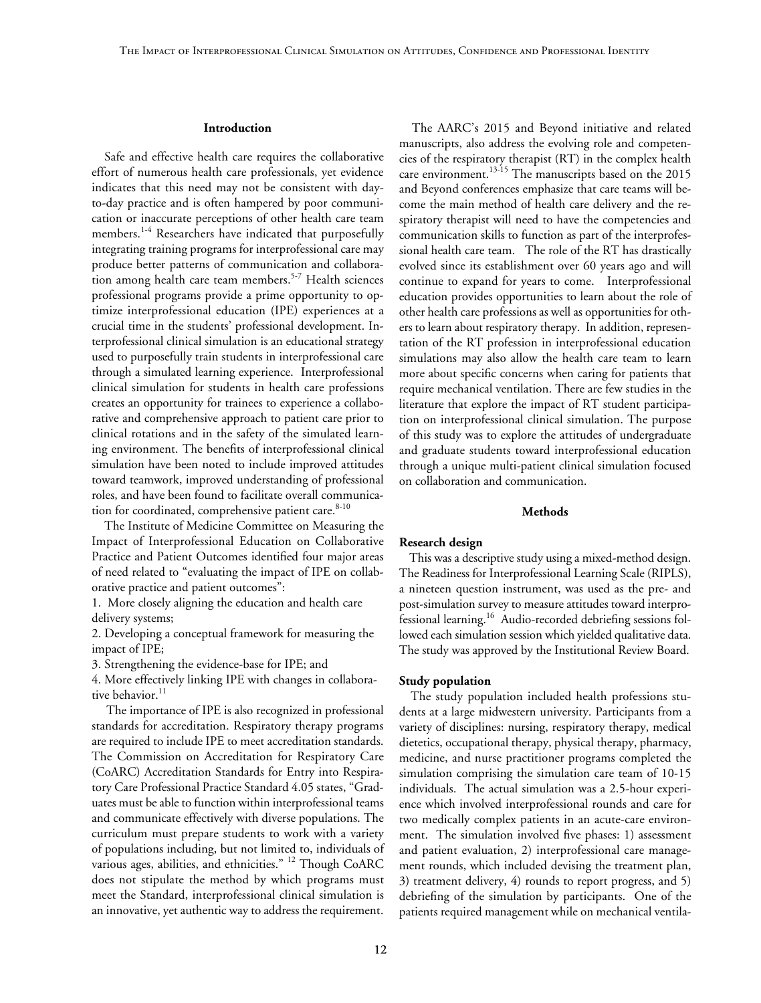#### **Introduction**

Safe and effective health care requires the collaborative effort of numerous health care professionals, yet evidence indicates that this need may not be consistent with dayto-day practice and is often hampered by poor communication or inaccurate perceptions of other health care team members.<sup>1-4</sup> Researchers have indicated that purposefully integrating training programs for interprofessional care may produce better patterns of communication and collaboration among health care team members.<sup>5-7</sup> Health sciences professional programs provide a prime opportunity to optimize interprofessional education (IPE) experiences at a crucial time in the students' professional development. Interprofessional clinical simulation is an educational strategy used to purposefully train students in interprofessional care through a simulated learning experience.Interprofessional clinical simulation for students in health care professions creates an opportunity for trainees to experience a collaborative and comprehensive approach to patient care prior to clinical rotations and in the safety of the simulated learning environment. The benefits of interprofessional clinical simulation have been noted to include improved attitudes toward teamwork, improved understanding of professional roles, and have been found to facilitate overall communication for coordinated, comprehensive patient care.<sup>8-10</sup>

The Institute of Medicine Committee on Measuring the Impact of Interprofessional Education on Collaborative Practice and Patient Outcomes identified four major areas of need related to "evaluating the impact of IPE on collaborative practice and patient outcomes":

1. More closely aligning the education and health care delivery systems;

2. Developing a conceptual framework for measuring the impact of IPE;

3. Strengthening the evidence-base for IPE; and

4. More effectively linking IPE with changes in collaborative behavior.<sup>11</sup>

The importance of IPE is also recognized in professional standards for accreditation. Respiratory therapy programs are required to include IPE to meet accreditation standards. The Commission on Accreditation for Respiratory Care (CoARC) Accreditation Standards for Entry into Respiratory Care Professional Practice Standard 4.05 states, "Graduates must be able to function within interprofessional teams and communicate effectively with diverse populations. The curriculum must prepare students to work with a variety of populations including, but not limited to, individuals of various ages, abilities, and ethnicities." <sup>12</sup> Though CoARC does not stipulate the method by which programs must meet the Standard, interprofessional clinical simulation is an innovative, yet authentic way to address the requirement.

The AARC's 2015 and Beyond initiative and related manuscripts, also address the evolving role and competencies of the respiratory therapist (RT) in the complex health care environment.<sup>13-15</sup> The manuscripts based on the 2015 and Beyond conferences emphasize that care teams will become the main method of health care delivery and the respiratory therapist will need to have the competencies and communication skills to function as part of the interprofessional health care team. The role of the RT has drastically evolved since its establishment over 60 years ago and will continue to expand for years to come. Interprofessional education provides opportunities to learn about the role of other health care professions as well as opportunities for others to learn about respiratory therapy. In addition, representation of the RT profession in interprofessional education simulations may also allow the health care team to learn more about specific concerns when caring for patients that require mechanical ventilation. There are few studies in the literature that explore the impact of RT student participation on interprofessional clinical simulation. The purpose of this study was to explore the attitudes of undergraduate and graduate students toward interprofessional education through a unique multi-patient clinical simulation focused on collaboration and communication.

#### **Methods**

#### **Research design**

This was a descriptive study using a mixed-method design. The Readiness for Interprofessional Learning Scale (RIPLS), a nineteen question instrument, was used as the pre- and post-simulation survey to measure attitudes toward interprofessional learning.16 Audio-recorded debriefing sessions followed each simulation session which yielded qualitative data. The study was approved by the Institutional Review Board.

#### **Study population**

The study population included health professions students at a large midwestern university. Participants from a variety of disciplines: nursing, respiratory therapy, medical dietetics, occupational therapy, physical therapy, pharmacy, medicine, and nurse practitioner programs completed the simulation comprising the simulation care team of 10-15 individuals. The actual simulation was a 2.5-hour experience which involved interprofessional rounds and care for two medically complex patients in an acute-care environment. The simulation involved five phases: 1) assessment and patient evaluation, 2) interprofessional care management rounds, which included devising the treatment plan, 3) treatment delivery, 4) rounds to report progress, and 5) debriefing of the simulation by participants. One of the patients required management while on mechanical ventila-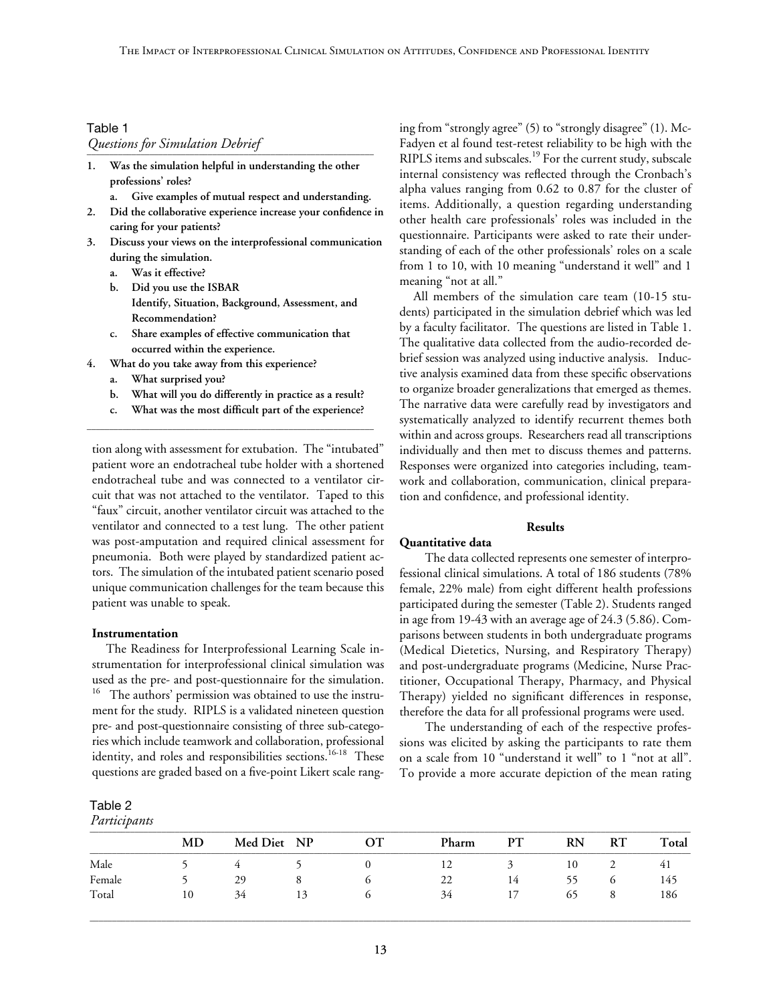# Table 1 *Questions for Simulation Debrief* \_\_\_\_\_\_\_\_\_\_\_\_\_\_\_\_\_\_\_\_\_\_\_\_\_\_\_\_\_\_\_\_\_\_\_\_\_\_\_\_\_\_\_\_\_\_\_\_\_\_\_\_\_\_\_\_\_\_\_\_\_\_\_\_

- **1. Was the simulation helpful in understanding the other professions' roles?**
	- **a. Give examples of mutual respect and understanding.**
- **2. Did the collaborative experience increase your confidence in caring for your patients?**
- **3. Discuss your views on the interprofessional communication during the simulation.**
	- **a. Was it effective?**
	- **b. Did you use the ISBAR Identify, Situation, Background, Assessment, and Recommendation?**
	- **c. Share examples of effective communication that occurred within the experience.**
- **4. What do you take away from this experience?**
	- **a. What surprised you?**
	- **b. What will you do differently in practice as a result?**
- **c. What was the most difficult part of the experience?** \_\_\_\_\_\_\_\_\_\_\_\_\_\_\_\_\_\_\_\_\_\_\_\_\_\_\_\_\_\_\_\_\_\_\_\_\_\_\_\_\_\_\_\_\_\_\_\_\_\_\_\_\_\_\_\_\_\_\_\_\_\_\_\_

tion along with assessment for extubation. The "intubated" patient wore an endotracheal tube holder with a shortened endotracheal tube and was connected to a ventilator circuit that was not attached to the ventilator. Taped to this "faux" circuit, another ventilator circuit was attached to the ventilator and connected to a test lung. The other patient was post-amputation and required clinical assessment for pneumonia. Both were played by standardized patient actors. The simulation of the intubated patient scenario posed unique communication challenges for the team because this patient was unable to speak.

#### **Instrumentation**

The Readiness for Interprofessional Learning Scale instrumentation for interprofessional clinical simulation was used as the pre- and post-questionnaire for the simulation. <sup>16</sup> The authors' permission was obtained to use the instrument for the study. RIPLS is a validated nineteen question pre- and post-questionnaire consisting of three sub-categories which include teamwork and collaboration, professional identity, and roles and responsibilities sections.<sup>16-18</sup> These questions are graded based on a five-point Likert scale rang-

#### Table 2

*Participants*

ing from "strongly agree" (5) to "strongly disagree" (1). Mc-Fadyen et al found test-retest reliability to be high with the RIPLS items and subscales.<sup>19</sup> For the current study, subscale internal consistency was reflected through the Cronbach's alpha values ranging from 0.62 to 0.87 for the cluster of items. Additionally, a question regarding understanding other health care professionals' roles was included in the questionnaire. Participants were asked to rate their understanding of each of the other professionals' roles on a scale from 1 to 10, with 10 meaning "understand it well" and 1 meaning "not at all."

All members of the simulation care team (10-15 students) participated in the simulation debrief which was led by a faculty facilitator. The questions are listed in Table 1. The qualitative data collected from the audio-recorded debrief session was analyzed using inductive analysis. Inductive analysis examined data from these specific observations to organize broader generalizations that emerged as themes. The narrative data were carefully read by investigators and systematically analyzed to identify recurrent themes both within and across groups. Researchers read all transcriptions individually and then met to discuss themes and patterns. Responses were organized into categories including, teamwork and collaboration, communication, clinical preparation and confidence, and professional identity.

#### **Results**

#### **Quantitative data**

The data collected represents one semester of interprofessional clinical simulations. A total of 186 students (78% female, 22% male) from eight different health professions participated during the semester (Table 2). Students ranged in age from 19-43 with an average age of 24.3 (5.86). Comparisons between students in both undergraduate programs (Medical Dietetics, Nursing, and Respiratory Therapy) and post-undergraduate programs (Medicine, Nurse Practitioner, Occupational Therapy, Pharmacy, and Physical Therapy) yielded no significant differences in response, therefore the data for all professional programs were used.

The understanding of each of the respective professions was elicited by asking the participants to rate them on a scale from 10 "understand it well" to 1 "not at all". To provide a more accurate depiction of the mean rating

| <i>i articipanis</i> |    |    |             |       |    |           |    |       |
|----------------------|----|----|-------------|-------|----|-----------|----|-------|
| MD                   |    |    | OТ          | Pharm | PТ | <b>RN</b> | RT | Total |
|                      |    |    |             | 12    |    | 10        | ∠  | 41    |
|                      | 29 |    |             | 22    | 14 |           |    | 145   |
| 10                   | 34 | 13 | O           | 34    | 17 | 65        |    | 186   |
|                      |    |    | Med Diet NP |       |    |           |    |       |

\_\_\_\_\_\_\_\_\_\_\_\_\_\_\_\_\_\_\_\_\_\_\_\_\_\_\_\_\_\_\_\_\_\_\_\_\_\_\_\_\_\_\_\_\_\_\_\_\_\_\_\_\_\_\_\_\_\_\_\_\_\_\_\_\_\_\_\_\_\_\_\_\_\_\_\_\_\_\_\_\_\_\_\_\_\_\_\_\_\_\_\_\_\_\_\_\_\_\_\_\_\_\_\_\_\_\_\_\_\_\_\_\_\_\_\_\_\_\_\_\_\_\_\_\_\_\_\_\_\_\_\_\_\_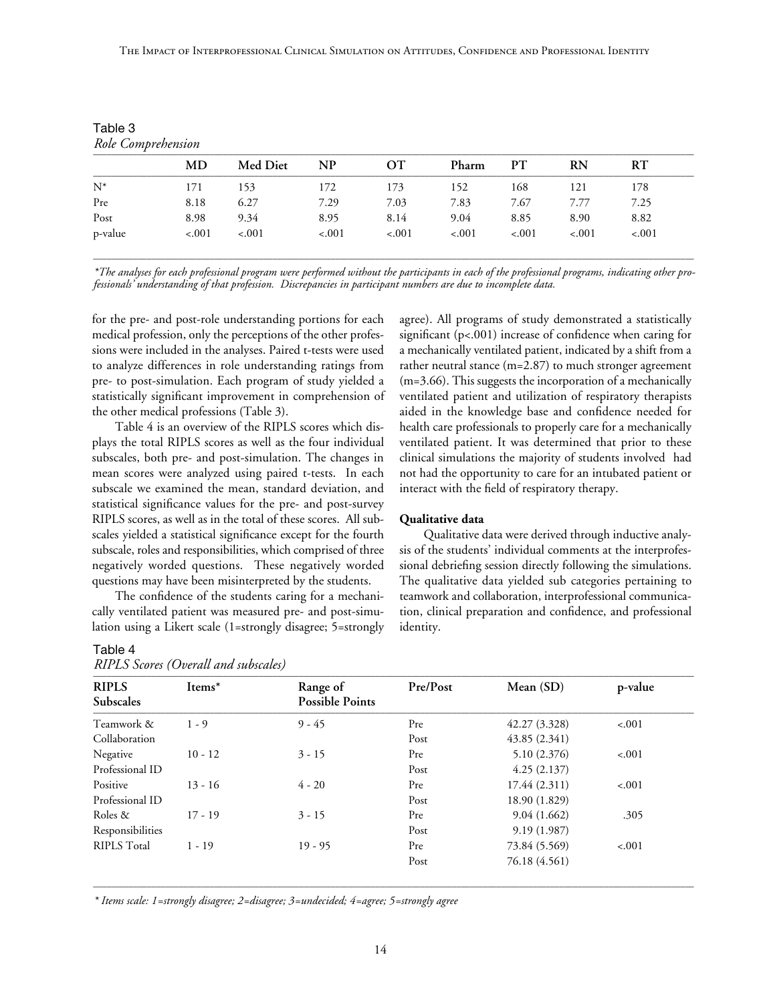The Impact of Interprofessional Clinical Simulation on Attitudes, Confidence and Professional Identity

| Role Comprehension |         |                 |           |         |         |         |         |         |
|--------------------|---------|-----------------|-----------|---------|---------|---------|---------|---------|
|                    | MD      | <b>Med Diet</b> | <b>NP</b> | OТ      | Pharm   | PТ      | RN      | RT      |
| $N^*$              | 171     | 153             | 172       | 173     | 152     | 168     | 121     | 178     |
| Pre                | 8.18    | 6.27            | 7.29      | 7.03    | 7.83    | 7.67    | 7.77    | 7.25    |
| Post               | 8.98    | 9.34            | 8.95      | 8.14    | 9.04    | 8.85    | 8.90    | 8.82    |
| p-value            | $-.001$ | $-.001$         | $-.001$   | $-.001$ | $-.001$ | $-.001$ | $-.001$ | $-.001$ |

Table 3

\_\_\_\_\_\_\_\_\_\_\_\_\_\_\_\_\_\_\_\_\_\_\_\_\_\_\_\_\_\_\_\_\_\_\_\_\_\_\_\_\_\_\_\_\_\_\_\_\_\_\_\_\_\_\_\_\_\_\_\_\_\_\_\_\_\_\_\_\_\_\_\_\_\_\_\_\_\_\_\_\_\_\_\_\_\_\_\_\_\_\_\_\_\_\_\_\_\_\_\_\_\_\_\_\_\_\_\_\_\_\_\_\_\_\_\_\_\_\_\_\_\_\_\_\_\_\_\_\_\_\_\_\_\_ *\*The analyses for each professional program were performed without the participants in each of the professional programs, indicating other professionals' understanding of that profession. Discrepancies in participant numbers are due to incomplete data.*

for the pre- and post-role understanding portions for each medical profession, only the perceptions of the other professions were included in the analyses. Paired t-tests were used to analyze differences in role understanding ratings from pre- to post-simulation. Each program of study yielded a statistically significant improvement in comprehension of the other medical professions (Table 3).

Table 4 is an overview of the RIPLS scores which displays the total RIPLS scores as well as the four individual subscales, both pre- and post-simulation. The changes in mean scores were analyzed using paired t-tests. In each subscale we examined the mean, standard deviation, and statistical significance values for the pre- and post-survey RIPLS scores, as well as in the total of these scores. All subscales yielded a statistical significance except for the fourth subscale, roles and responsibilities, which comprised of three negatively worded questions. These negatively worded questions may have been misinterpreted by the students.

The confidence of the students caring for a mechanically ventilated patient was measured pre- and post-simulation using a Likert scale (1=strongly disagree; 5=strongly

## Table 4

*RIPLS Scores (Overall and subscales)*

agree). All programs of study demonstrated a statistically significant (p<.001) increase of confidence when caring for a mechanically ventilated patient, indicated by a shift from a rather neutral stance (m=2.87) to much stronger agreement (m=3.66). This suggests the incorporation of a mechanically ventilated patient and utilization of respiratory therapists aided in the knowledge base and confidence needed for health care professionals to properly care for a mechanically ventilated patient. It was determined that prior to these clinical simulations the majority of students involved had not had the opportunity to care for an intubated patient or interact with the field of respiratory therapy.

# **Qualitative data**

Qualitative data were derived through inductive analysis of the students' individual comments at the interprofessional debriefing session directly following the simulations. The qualitative data yielded sub categories pertaining to teamwork and collaboration, interprofessional communication, clinical preparation and confidence, and professional identity.

| <b>RIPLS</b>       | Items*    | Range of               | Pre/Post | Mean (SD)     | p-value |
|--------------------|-----------|------------------------|----------|---------------|---------|
| Subscales          |           | <b>Possible Points</b> |          |               |         |
| Teamwork &         | $1 - 9$   | $9 - 45$               | Pre      | 42.27(3.328)  | $-.001$ |
| Collaboration      |           |                        | Post     | 43.85(2.341)  |         |
| Negative           | $10 - 12$ | $3 - 15$               | Pre      | 5.10(2.376)   | $-.001$ |
| Professional ID    |           |                        | Post     | 4.25(2.137)   |         |
| Positive           | $13 - 16$ | $4 - 20$               | Pre      | 17.44 (2.311) | $-.001$ |
| Professional ID    |           |                        | Post     | 18.90 (1.829) |         |
| Roles &            | $17 - 19$ | $3 - 15$               | Pre      | 9.04(1.662)   | .305    |
| Responsibilities   |           |                        | Post     | 9.19(1.987)   |         |
| <b>RIPLS Total</b> | $1 - 19$  | $19 - 95$              | Pre      | 73.84 (5.569) | $-.001$ |
|                    |           |                        | Post     | 76.18 (4.561) |         |

\_\_\_\_\_\_\_\_\_\_\_\_\_\_\_\_\_\_\_\_\_\_\_\_\_\_\_\_\_\_\_\_\_\_\_\_\_\_\_\_\_\_\_\_\_\_\_\_\_\_\_\_\_\_\_\_\_\_\_\_\_\_\_\_\_\_\_\_\_\_\_\_\_\_\_\_\_\_\_\_\_\_\_\_\_\_\_\_\_\_\_\_\_\_\_\_\_\_\_\_\_\_\_\_\_\_\_\_\_\_\_\_\_\_\_\_\_\_\_\_\_\_\_\_\_\_\_\_\_\_\_\_\_\_

*\* Items scale: 1=strongly disagree; 2=disagree; 3=undecided; 4=agree; 5=strongly agree*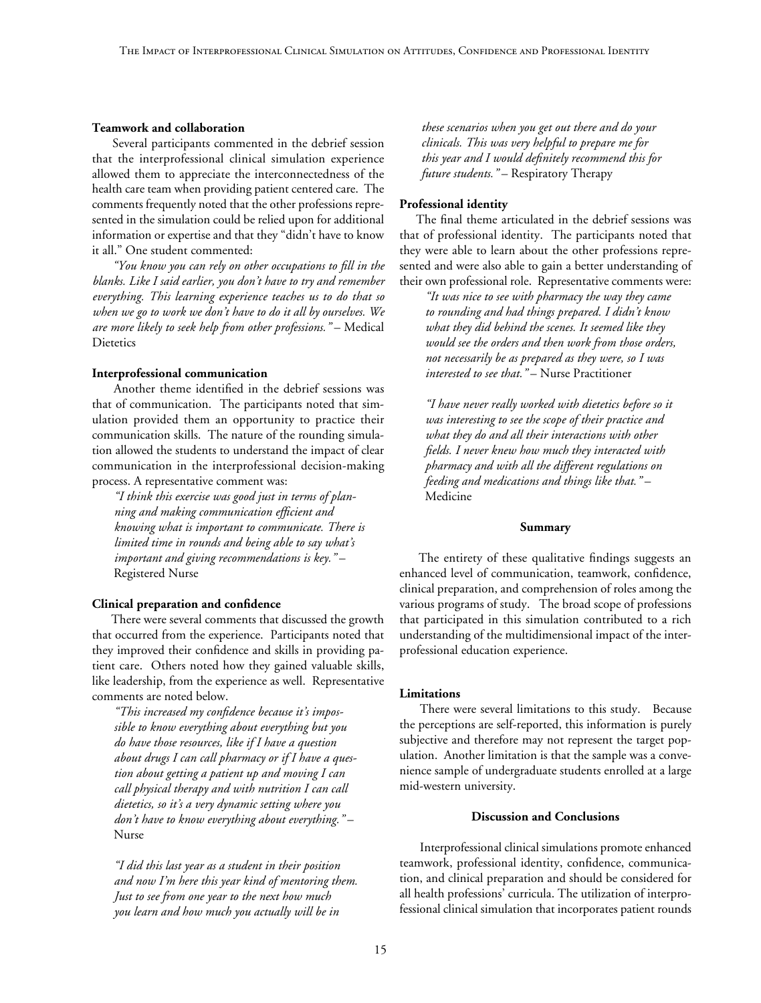#### **Teamwork and collaboration**

Several participants commented in the debrief session that the interprofessional clinical simulation experience allowed them to appreciate the interconnectedness of the health care team when providing patient centered care. The comments frequently noted that the other professions represented in the simulation could be relied upon for additional information or expertise and that they "didn't have to know it all." One student commented:

*"You know you can rely on other occupations to fill in the blanks. Like I said earlier, you don't have to try and remember everything. This learning experience teaches us to do that so when we go to work we don't have to do it all by ourselves. We are more likely to seek help from other professions."* – Medical **Dietetics** 

#### **Interprofessional communication**

Another theme identified in the debrief sessions was that of communication. The participants noted that simulation provided them an opportunity to practice their communication skills. The nature of the rounding simulation allowed the students to understand the impact of clear communication in the interprofessional decision-making process. A representative comment was:

*"I think this exercise was good just in terms of planning and making communication efficient and knowing what is important to communicate. There is limited time in rounds and being able to say what's important and giving recommendations is key."* – Registered Nurse

#### **Clinical preparation and confidence**

There were several comments that discussed the growth that occurred from the experience. Participants noted that they improved their confidence and skills in providing patient care. Others noted how they gained valuable skills, like leadership, from the experience as well. Representative comments are noted below.

*"This increased my confidence because it's impossible to know everything about everything but you do have those resources, like if I have a question about drugs I can call pharmacy or if I have a question about getting a patient up and moving I can call physical therapy and with nutrition I can call dietetics, so it's a very dynamic setting where you don't have to know everything about everything."* – Nurse

*"I did this last year as a student in their position and now I'm here this year kind of mentoring them. Just to see from one year to the next how much you learn and how much you actually will be in* 

*these scenarios when you get out there and do your clinicals. This was very helpful to prepare me for this year and I would definitely recommend this for future students."* – Respiratory Therapy

#### **Professional identity**

The final theme articulated in the debrief sessions was that of professional identity. The participants noted that they were able to learn about the other professions represented and were also able to gain a better understanding of their own professional role. Representative comments were:

*"It was nice to see with pharmacy the way they came to rounding and had things prepared. I didn't know what they did behind the scenes. It seemed like they would see the orders and then work from those orders, not necessarily be as prepared as they were, so I was interested to see that."* – Nurse Practitioner

*"I have never really worked with dietetics before so it was interesting to see the scope of their practice and what they do and all their interactions with other fields. I never knew how much they interacted with pharmacy and with all the different regulations on feeding and medications and things like that."* – Medicine

#### **Summary**

The entirety of these qualitative findings suggests an enhanced level of communication, teamwork, confidence, clinical preparation, and comprehension of roles among the various programs of study. The broad scope of professions that participated in this simulation contributed to a rich understanding of the multidimensional impact of the interprofessional education experience.

#### **Limitations**

There were several limitations to this study. Because the perceptions are self-reported, this information is purely subjective and therefore may not represent the target population. Another limitation is that the sample was a convenience sample of undergraduate students enrolled at a large mid-western university.

# **Discussion and Conclusions**

Interprofessional clinical simulations promote enhanced teamwork, professional identity, confidence, communication, and clinical preparation and should be considered for all health professions' curricula. The utilization of interprofessional clinical simulation that incorporates patient rounds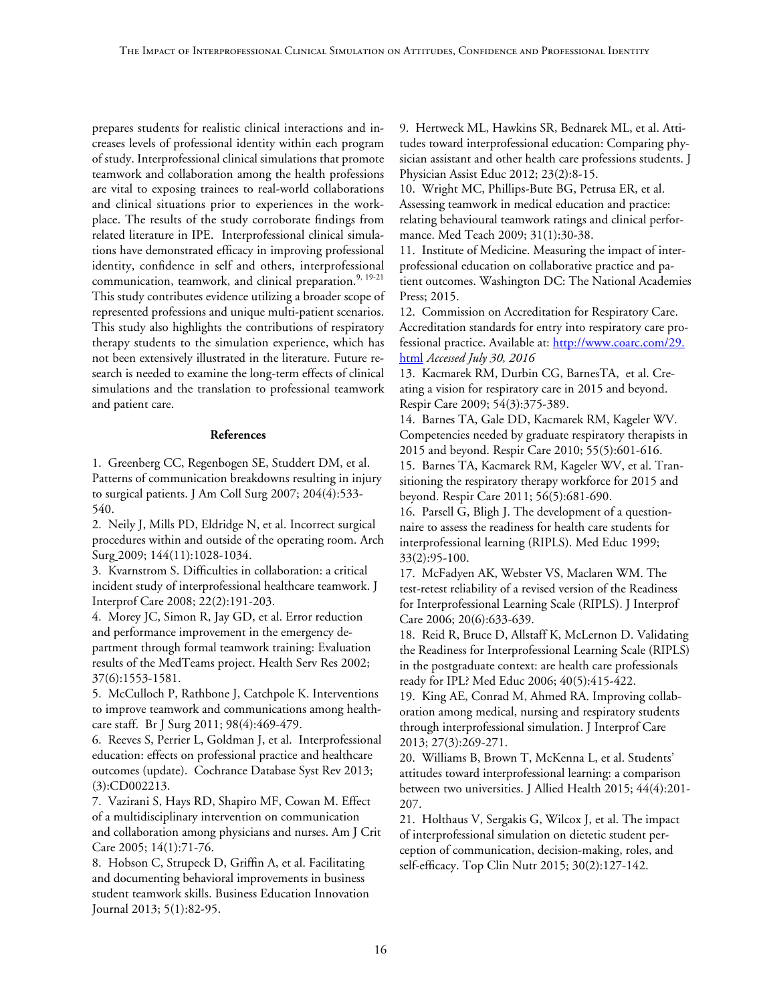prepares students for realistic clinical interactions and increases levels of professional identity within each program of study. Interprofessional clinical simulations that promote teamwork and collaboration among the health professions are vital to exposing trainees to real-world collaborations and clinical situations prior to experiences in the workplace. The results of the study corroborate findings from related literature in IPE. Interprofessional clinical simulations have demonstrated efficacy in improving professional identity, confidence in self and others, interprofessional communication, teamwork, and clinical preparation.<sup>9, 19-21</sup> This study contributes evidence utilizing a broader scope of represented professions and unique multi-patient scenarios. This study also highlights the contributions of respiratory therapy students to the simulation experience, which has not been extensively illustrated in the literature. Future research is needed to examine the long-term effects of clinical simulations and the translation to professional teamwork and patient care.

## **References**

1. Greenberg CC, Regenbogen SE, Studdert DM, et al. Patterns of communication breakdowns resulting in injury to surgical patients. J Am Coll Surg 2007; 204(4):533- 540.

2. Neily J, Mills PD, Eldridge N, et al. Incorrect surgical procedures within and outside of the operating room. Arch Surg 2009; 144(11):1028-1034.

3. Kvarnstrom S. Difficulties in collaboration: a critical incident study of interprofessional healthcare teamwork. J Interprof Care 2008; 22(2):191-203.

4. Morey JC, Simon R, Jay GD, et al. Error reduction and performance improvement in the emergency department through formal teamwork training: Evaluation results of the MedTeams project. Health Serv Res 2002; 37(6):1553-1581.

5. McCulloch P, Rathbone J, Catchpole K. Interventions to improve teamwork and communications among healthcare staff. Br J Surg 2011; 98(4):469-479.

6. Reeves S, Perrier L, Goldman J, et al. Interprofessional education: effects on professional practice and healthcare outcomes (update). Cochrance Database Syst Rev 2013; (3):CD002213.

7. Vazirani S, Hays RD, Shapiro MF, Cowan M. Effect of a multidisciplinary intervention on communication and collaboration among physicians and nurses. Am J Crit Care 2005; 14(1):71-76.

8. Hobson C, Strupeck D, Griffin A, et al. Facilitating and documenting behavioral improvements in business student teamwork skills. Business Education Innovation Journal 2013; 5(1):82-95.

9. Hertweck ML, Hawkins SR, Bednarek ML, et al. Attitudes toward interprofessional education: Comparing physician assistant and other health care professions students. J Physician Assist Educ 2012; 23(2):8-15.

10. Wright MC, Phillips-Bute BG, Petrusa ER, et al. Assessing teamwork in medical education and practice: relating behavioural teamwork ratings and clinical performance. Med Teach 2009; 31(1):30-38.

11. Institute of Medicine. Measuring the impact of interprofessional education on collaborative practice and patient outcomes. Washington DC: The National Academies Press; 2015.

12. Commission on Accreditation for Respiratory Care. Accreditation standards for entry into respiratory care professional practice. Available at: http://www.coarc.com/29. html *Accessed July 30, 2016*

13. Kacmarek RM, Durbin CG, BarnesTA, et al. Creating a vision for respiratory care in 2015 and beyond. Respir Care 2009; 54(3):375-389.

14. Barnes TA, Gale DD, Kacmarek RM, Kageler WV. Competencies needed by graduate respiratory therapists in 2015 and beyond. Respir Care 2010; 55(5):601-616.

15. Barnes TA, Kacmarek RM, Kageler WV, et al. Transitioning the respiratory therapy workforce for 2015 and beyond. Respir Care 2011; 56(5):681-690.

16. Parsell G, Bligh J. The development of a questionnaire to assess the readiness for health care students for interprofessional learning (RIPLS). Med Educ 1999; 33(2):95-100.

17. McFadyen AK, Webster VS, Maclaren WM. The test-retest reliability of a revised version of the Readiness for Interprofessional Learning Scale (RIPLS)*.* J Interprof Care 2006; 20(6):633-639.

18. Reid R, Bruce D, Allstaff K, McLernon D. Validating the Readiness for Interprofessional Learning Scale (RIPLS) in the postgraduate context: are health care professionals ready for IPL? Med Educ 2006; 40(5):415-422.

19. King AE, Conrad M, Ahmed RA. Improving collaboration among medical, nursing and respiratory students through interprofessional simulation. J Interprof Care 2013; 27(3):269-271.

20. Williams B, Brown T, McKenna L, et al. Students' attitudes toward interprofessional learning: a comparison between two universities. J Allied Health 2015; 44(4):201- 207.

21. Holthaus V, Sergakis G, Wilcox J, et al. The impact of interprofessional simulation on dietetic student perception of communication, decision-making, roles, and self-efficacy. Top Clin Nutr 2015; 30(2):127-142.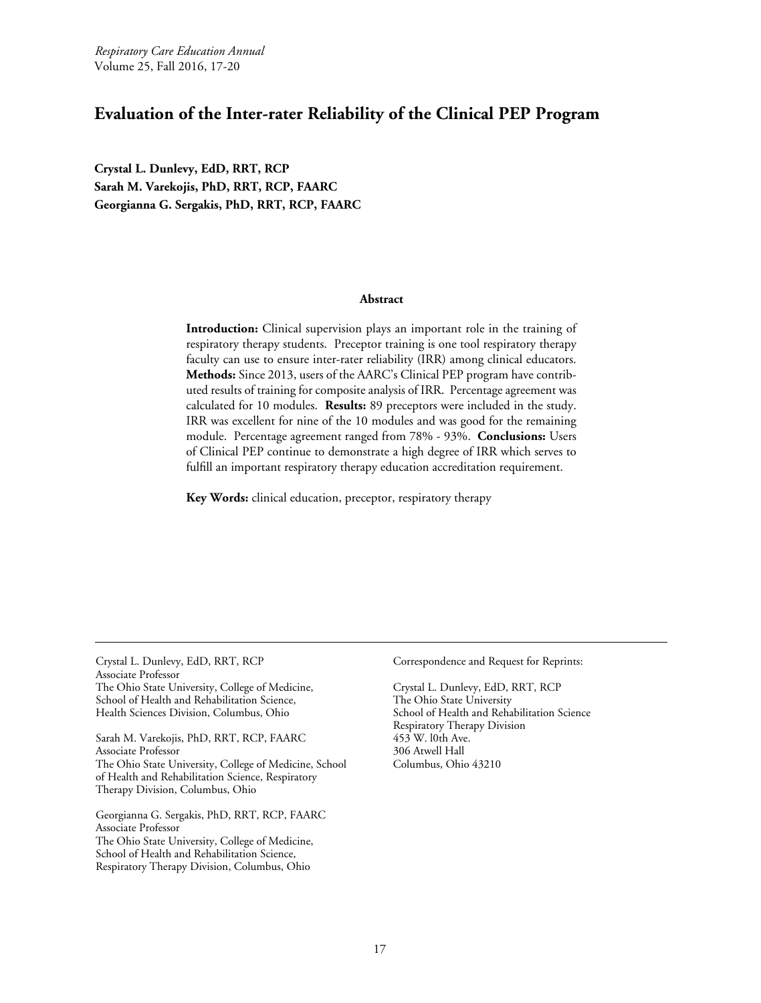<span id="page-16-0"></span>*Respiratory Care Education Annual* Volume 25, Fall 2016, 17-20

# **Evaluation of the Inter-rater Reliability of the Clinical PEP Program**

**Crystal L. Dunlevy, EdD, RRT, RCP Sarah M. Varekojis, PhD, RRT, RCP, FAARC Georgianna G. Sergakis, PhD, RRT, RCP, FAARC**

#### **Abstract**

**Introduction:** Clinical supervision plays an important role in the training of respiratory therapy students. Preceptor training is one tool respiratory therapy faculty can use to ensure inter-rater reliability (IRR) among clinical educators. **Methods:** Since 2013, users of the AARC's Clinical PEP program have contributed results of training for composite analysis of IRR. Percentage agreement was calculated for 10 modules. **Results:** 89 preceptors were included in the study. IRR was excellent for nine of the 10 modules and was good for the remaining module. Percentage agreement ranged from 78% - 93%. **Conclusions:** Users of Clinical PEP continue to demonstrate a high degree of IRR which serves to fulfill an important respiratory therapy education accreditation requirement.

**Key Words:** clinical education, preceptor, respiratory therapy

Crystal L. Dunlevy, EdD, RRT, RCP Associate Professor The Ohio State University, College of Medicine, School of Health and Rehabilitation Science, Health Sciences Division, Columbus, Ohio

Sarah M. Varekojis, PhD, RRT, RCP, FAARC Associate Professor The Ohio State University, College of Medicine, School of Health and Rehabilitation Science, Respiratory Therapy Division, Columbus, Ohio

Georgianna G. Sergakis, PhD, RRT, RCP, FAARC Associate Professor The Ohio State University, College of Medicine, School of Health and Rehabilitation Science, Respiratory Therapy Division, Columbus, Ohio

Correspondence and Request for Reprints:

Crystal L. Dunlevy, EdD, RRT, RCP The Ohio State University School of Health and Rehabilitation Science Respiratory Therapy Division 453 W. l0th Ave. 306 Atwell Hall Columbus, Ohio 43210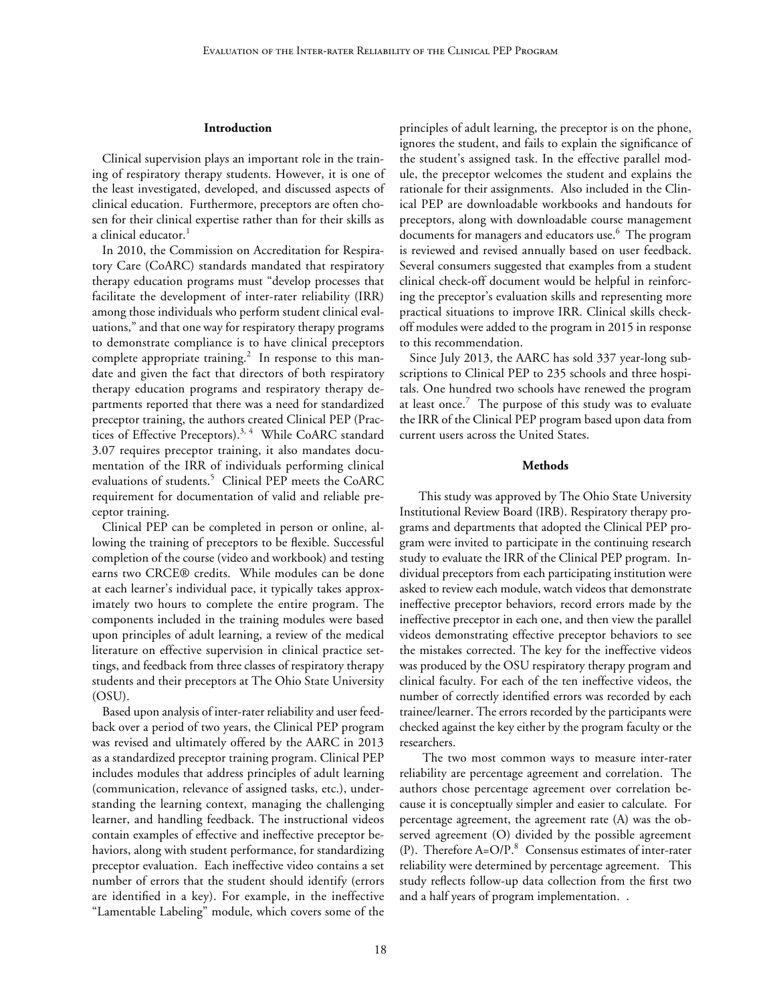#### **Introduction**

Clinical supervision plays an important role in the training of respiratory therapy students. However, it is one of the least investigated, developed, and discussed aspects of clinical education. Furthermore, preceptors are often chosen for their clinical expertise rather than for their skills as a clinical educator.<sup>1</sup>

In 2010, the Commission on Accreditation for Respiratory Care (CoARC) standards mandated that respiratory therapy education programs must "develop processes that facilitate the development of inter-rater reliability (IRR) among those individuals who perform student clinical evaluations," and that one way for respiratory therapy programs to demonstrate compliance is to have clinical preceptors complete appropriate training.<sup>2</sup> In response to this mandate and given the fact that directors of both respiratory therapy education programs and respiratory therapy departments reported that there was a need for standardized preceptor training, the authors created Clinical PEP (Practices of Effective Preceptors).<sup>3, 4</sup> While CoARC standard 3.07 requires preceptor training, it also mandates documentation of the IRR of individuals performing clinical evaluations of students.<sup>5</sup> Clinical PEP meets the CoARC requirement for documentation of valid and reliable preceptor training.

Clinical PEP can be completed in person or online, allowing the training of preceptors to be flexible. Successful completion of the course (video and workbook) and testing earns two CRCE® credits. While modules can be done at each learner's individual pace, it typically takes approximately two hours to complete the entire program. The components included in the training modules were based upon principles of adult learning, a review of the medical literature on effective supervision in clinical practice settings, and feedback from three classes of respiratory therapy students and their preceptors at The Ohio State University (OSU).

Based upon analysis of inter-rater reliability and user feedback over a period of two years, the Clinical PEP program was revised and ultimately offered by the AARC in 2013 as a standardized preceptor training program. Clinical PEP includes modules that address principles of adult learning (communication, relevance of assigned tasks, etc.), understanding the learning context, managing the challenging learner, and handling feedback. The instructional videos contain examples of effective and ineffective preceptor behaviors, along with student performance, for standardizing preceptor evaluation. Each ineffective video contains a set number of errors that the student should identify (errors are identified in a key). For example, in the ineffective "Lamentable Labeling" module, which covers some of the principles of adult learning, the preceptor is on the phone, ignores the student, and fails to explain the significance of the student's assigned task. In the effective parallel module, the preceptor welcomes the student and explains the rationale for their assignments. Also included in the Clinical PEP are downloadable workbooks and handouts for preceptors, along with downloadable course management documents for managers and educators use.<sup>6</sup> The program is reviewed and revised annually based on user feedback. Several consumers suggested that examples from a student clinical check-off document would be helpful in reinforcing the preceptor's evaluation skills and representing more practical situations to improve IRR. Clinical skills checkoff modules were added to the program in 2015 in response to this recommendation.

Since July 2013, the AARC has sold 337 year-long subscriptions to Clinical PEP to 235 schools and three hospitals. One hundred two schools have renewed the program at least once.<sup>7</sup> The purpose of this study was to evaluate the IRR of the Clinical PEP program based upon data from current users across the United States.

#### **Methods**

This study was approved by The Ohio State University Institutional Review Board (IRB). Respiratory therapy programs and departments that adopted the Clinical PEP program were invited to participate in the continuing research study to evaluate the IRR of the Clinical PEP program. Individual preceptors from each participating institution were asked to review each module, watch videos that demonstrate ineffective preceptor behaviors, record errors made by the ineffective preceptor in each one, and then view the parallel videos demonstrating effective preceptor behaviors to see the mistakes corrected. The key for the ineffective videos was produced by the OSU respiratory therapy program and clinical faculty. For each of the ten ineffective videos, the number of correctly identified errors was recorded by each trainee/learner. The errors recorded by the participants were checked against the key either by the program faculty or the researchers.

The two most common ways to measure inter-rater reliability are percentage agreement and correlation. The authors chose percentage agreement over correlation because it is conceptually simpler and easier to calculate. For percentage agreement, the agreement rate (A) was the observed agreement (O) divided by the possible agreement (P). Therefore  $A=O/P<sup>8</sup>$  Consensus estimates of inter-rater reliability were determined by percentage agreement. This study reflects follow-up data collection from the first two and a half years of program implementation. .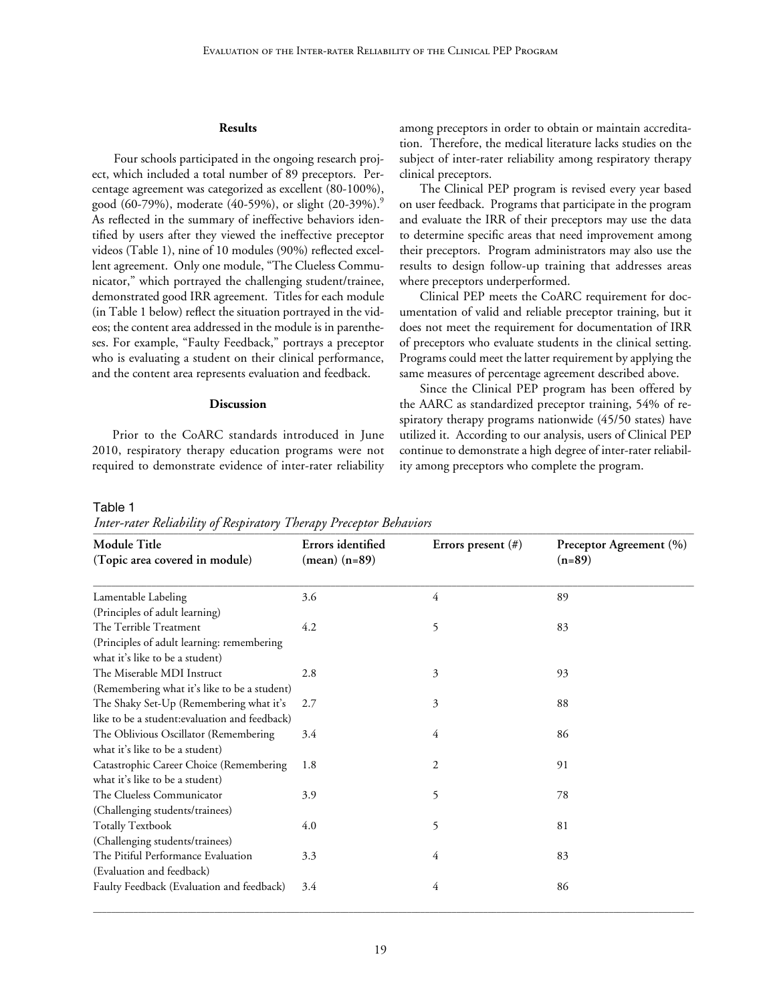#### **Results**

Four schools participated in the ongoing research project, which included a total number of 89 preceptors. Percentage agreement was categorized as excellent (80-100%), good (60-79%), moderate (40-59%), or slight (20-39%).<sup>9</sup> As reflected in the summary of ineffective behaviors identified by users after they viewed the ineffective preceptor videos (Table 1), nine of 10 modules (90%) reflected excellent agreement. Only one module, "The Clueless Communicator," which portrayed the challenging student/trainee, demonstrated good IRR agreement. Titles for each module (in Table 1 below) reflect the situation portrayed in the videos; the content area addressed in the module is in parentheses. For example, "Faulty Feedback," portrays a preceptor who is evaluating a student on their clinical performance, and the content area represents evaluation and feedback.

#### **Discussion**

Prior to the CoARC standards introduced in June 2010, respiratory therapy education programs were not required to demonstrate evidence of inter-rater reliability among preceptors in order to obtain or maintain accreditation. Therefore, the medical literature lacks studies on the subject of inter-rater reliability among respiratory therapy clinical preceptors.

The Clinical PEP program is revised every year based on user feedback. Programs that participate in the program and evaluate the IRR of their preceptors may use the data to determine specific areas that need improvement among their preceptors. Program administrators may also use the results to design follow-up training that addresses areas where preceptors underperformed.

Clinical PEP meets the CoARC requirement for documentation of valid and reliable preceptor training, but it does not meet the requirement for documentation of IRR of preceptors who evaluate students in the clinical setting. Programs could meet the latter requirement by applying the same measures of percentage agreement described above.

Since the Clinical PEP program has been offered by the AARC as standardized preceptor training, 54% of respiratory therapy programs nationwide (45/50 states) have utilized it. According to our analysis, users of Clinical PEP continue to demonstrate a high degree of inter-rater reliability among preceptors who complete the program.

#### Table 1

Inter-rater Reliability of Respiratory Therapy Preceptor Behaviors

| Module Title                                                                  | Errors identified             | Errors present $(\#)$ | Preceptor Agreement (%) |
|-------------------------------------------------------------------------------|-------------------------------|-----------------------|-------------------------|
| (Topic area covered in module)                                                | $(\text{mean}) (\text{n=89})$ |                       | $(n=89)$                |
| Lamentable Labeling                                                           | 3.6                           | 4                     | 89                      |
| (Principles of adult learning)                                                |                               |                       |                         |
| The Terrible Treatment                                                        | 4.2                           | 5                     | 83                      |
| (Principles of adult learning: remembering<br>what it's like to be a student) |                               |                       |                         |
| The Miserable MDI Instruct                                                    | 2.8                           | 3                     | 93                      |
| (Remembering what it's like to be a student)                                  |                               |                       |                         |
| The Shaky Set-Up (Remembering what it's                                       | 2.7                           | 3                     | 88                      |
| like to be a student: evaluation and feedback)                                |                               |                       |                         |
| The Oblivious Oscillator (Remembering                                         | 3.4                           | 4                     | 86                      |
| what it's like to be a student)                                               |                               |                       |                         |
| Catastrophic Career Choice (Remembering                                       | 1.8                           | 2                     | 91                      |
| what it's like to be a student)                                               |                               |                       |                         |
| The Clueless Communicator                                                     | 3.9                           | 5                     | 78                      |
| (Challenging students/trainees)                                               |                               |                       |                         |
| <b>Totally Textbook</b>                                                       | 4.0                           | 5                     | 81                      |
| (Challenging students/trainees)                                               |                               |                       |                         |
| The Pitiful Performance Evaluation                                            | 3.3                           | 4                     | 83                      |
| (Evaluation and feedback)                                                     |                               |                       |                         |
| Faulty Feedback (Evaluation and feedback)                                     | 3.4                           | 4                     | 86                      |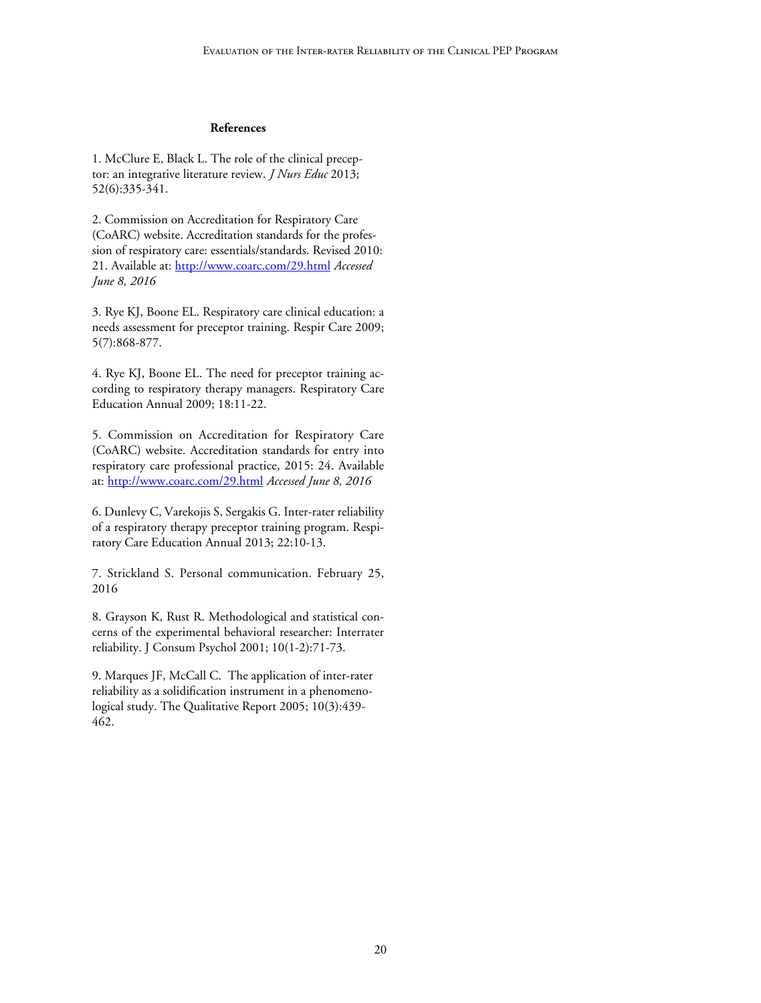## **References**

1. McClure E, Black L. The role of the clinical preceptor: an integrative literature review. *J Nurs Educ* 2013; 52(6):335-341.

2. Commission on Accreditation for Respiratory Care (CoARC) website. Accreditation standards for the profession of respiratory care: essentials/standards. Revised 2010: 21. Available at: http://www.coarc.com/29.html *Accessed June 8, 2016*

3. Rye KJ, Boone EL. Respiratory care clinical education: a needs assessment for preceptor training. Respir Care 2009; 5(7):868-877.

4. Rye KJ, Boone EL. The need for preceptor training according to respiratory therapy managers. Respiratory Care Education Annual 2009; 18:11-22.

5. Commission on Accreditation for Respiratory Care (CoARC) website. Accreditation standards for entry into respiratory care professional practice, 2015: 24. Available at: http://www.coarc.com/29.html *Accessed June 8, 2016*

6. Dunlevy C, Varekojis S, Sergakis G. Inter-rater reliability of a respiratory therapy preceptor training program. Respiratory Care Education Annual 2013; 22:10-13.

7. Strickland S. Personal communication. February 25, 2016

8. Grayson K, Rust R. Methodological and statistical concerns of the experimental behavioral researcher: Interrater reliability. J Consum Psychol 2001; 10(1-2):71-73.

9. Marques JF, McCall C. The application of inter-rater reliability as a solidification instrument in a phenomenological study. The Qualitative Report 2005; 10(3):439- 462.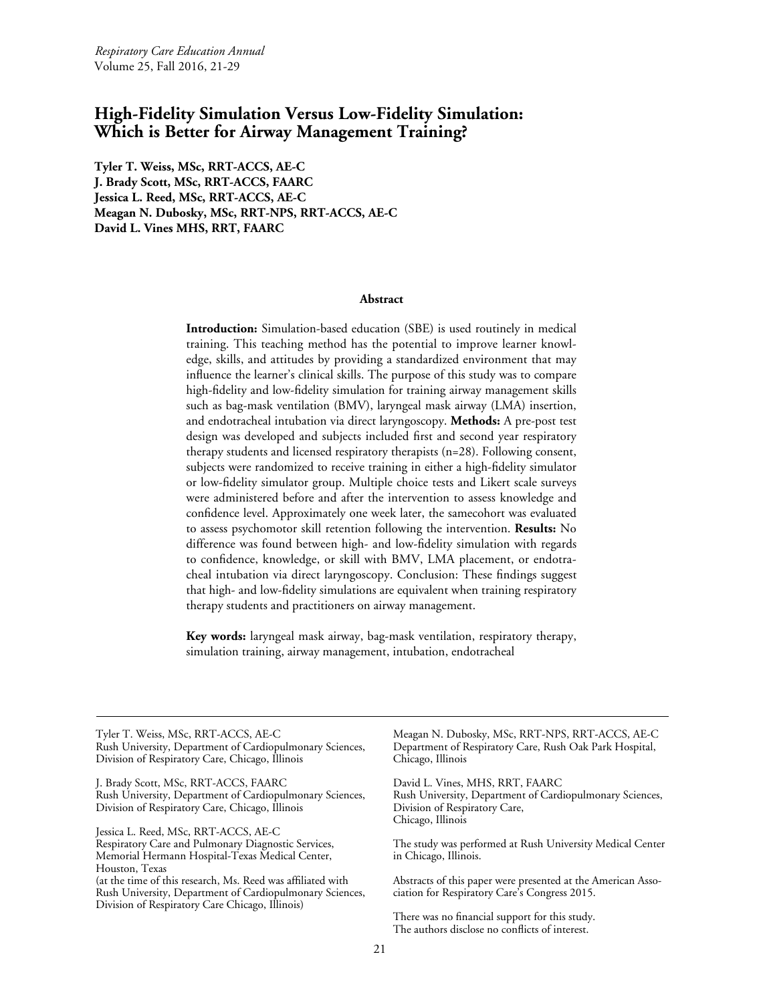# <span id="page-20-0"></span>**High-Fidelity Simulation Versus Low-Fidelity Simulation: Which is Better for Airway Management Training?**

**Tyler T. Weiss, MSc, RRT-ACCS, AE-C J. Brady Scott, MSc, RRT-ACCS, FAARC Jessica L. Reed, MSc, RRT-ACCS, AE-C Meagan N. Dubosky, MSc, RRT-NPS, RRT-ACCS, AE-C David L. Vines MHS, RRT, FAARC** 

#### **Abstract**

**Introduction:** Simulation-based education (SBE) is used routinely in medical training. This teaching method has the potential to improve learner knowledge, skills, and attitudes by providing a standardized environment that may influence the learner's clinical skills. The purpose of this study was to compare high-fidelity and low-fidelity simulation for training airway management skills such as bag-mask ventilation (BMV), laryngeal mask airway (LMA) insertion, and endotracheal intubation via direct laryngoscopy. **Methods:** A pre-post test design was developed and subjects included first and second year respiratory therapy students and licensed respiratory therapists (n=28). Following consent, subjects were randomized to receive training in either a high-fidelity simulator or low-fidelity simulator group. Multiple choice tests and Likert scale surveys were administered before and after the intervention to assess knowledge and confidence level. Approximately one week later, the samecohort was evaluated to assess psychomotor skill retention following the intervention. **Results:** No difference was found between high- and low-fidelity simulation with regards to confidence, knowledge, or skill with BMV, LMA placement, or endotracheal intubation via direct laryngoscopy. Conclusion: These findings suggest that high- and low-fidelity simulations are equivalent when training respiratory therapy students and practitioners on airway management.

**Key words:** laryngeal mask airway, bag-mask ventilation, respiratory therapy, simulation training, airway management, intubation, endotracheal

Tyler T. Weiss, MSc, RRT-ACCS, AE-C Rush University, Department of Cardiopulmonary Sciences, Division of Respiratory Care, Chicago, Illinois

J. Brady Scott, MSc, RRT-ACCS, FAARC Rush University, Department of Cardiopulmonary Sciences, Division of Respiratory Care, Chicago, Illinois

Jessica L. Reed, MSc, RRT-ACCS, AE-C Respiratory Care and Pulmonary Diagnostic Services, Memorial Hermann Hospital-Texas Medical Center, Houston, Texas (at the time of this research, Ms. Reed was affiliated with Rush University, Department of Cardiopulmonary Sciences, Division of Respiratory Care Chicago, Illinois)

Meagan N. Dubosky, MSc, RRT-NPS, RRT-ACCS, AE-C Department of Respiratory Care, Rush Oak Park Hospital, Chicago, Illinois

David L. Vines, MHS, RRT, FAARC Rush University, Department of Cardiopulmonary Sciences, Division of Respiratory Care, Chicago, Illinois

The study was performed at Rush University Medical Center in Chicago, Illinois.

Abstracts of this paper were presented at the American Association for Respiratory Care's Congress 2015.

There was no financial support for this study. The authors disclose no conflicts of interest.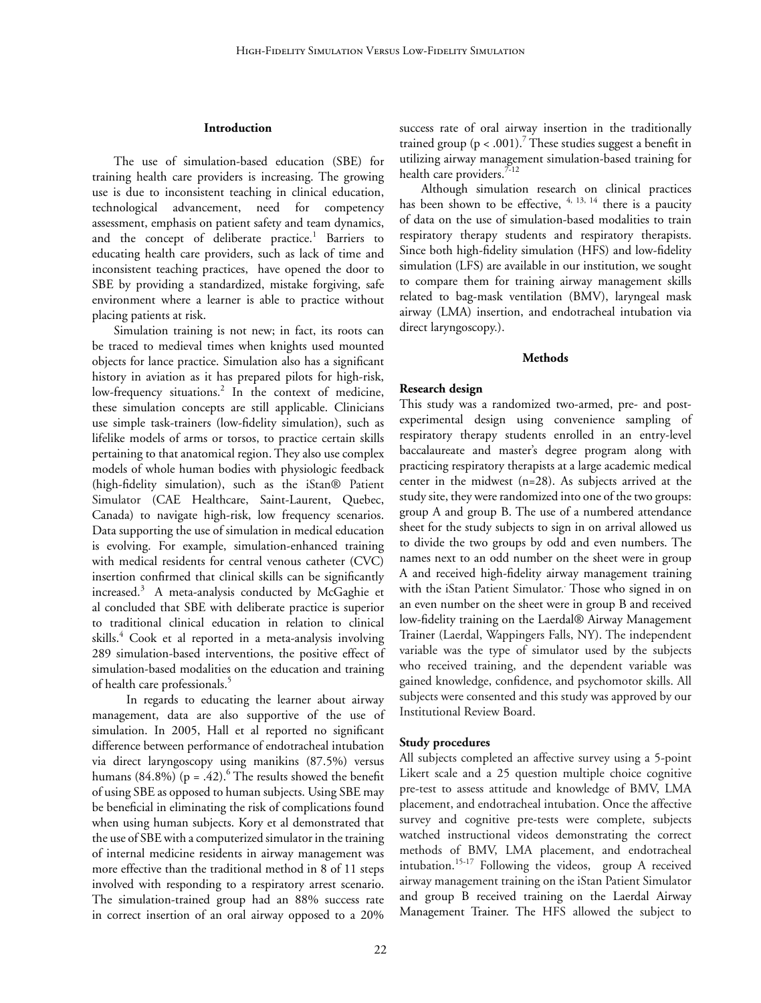#### **Introduction**

The use of simulation-based education (SBE) for training health care providers is increasing. The growing use is due to inconsistent teaching in clinical education, technological advancement, need for competency assessment, emphasis on patient safety and team dynamics, and the concept of deliberate practice.<sup>1</sup> Barriers to educating health care providers, such as lack of time and inconsistent teaching practices, have opened the door to SBE by providing a standardized, mistake forgiving, safe environment where a learner is able to practice without placing patients at risk.

Simulation training is not new; in fact, its roots can be traced to medieval times when knights used mounted objects for lance practice. Simulation also has a significant history in aviation as it has prepared pilots for high-risk, low-frequency situations.<sup>2</sup> In the context of medicine, these simulation concepts are still applicable. Clinicians use simple task-trainers (low-fidelity simulation), such as lifelike models of arms or torsos, to practice certain skills pertaining to that anatomical region. They also use complex models of whole human bodies with physiologic feedback (high-fidelity simulation), such as the iStan® Patient Simulator (CAE Healthcare, Saint-Laurent, Quebec, Canada) to navigate high-risk, low frequency scenarios. Data supporting the use of simulation in medical education is evolving. For example, simulation-enhanced training with medical residents for central venous catheter (CVC) insertion confirmed that clinical skills can be significantly increased. $3$  A meta-analysis conducted by McGaghie et al concluded that SBE with deliberate practice is superior to traditional clinical education in relation to clinical skills.<sup>4</sup> Cook et al reported in a meta-analysis involving 289 simulation-based interventions, the positive effect of simulation-based modalities on the education and training of health care professionals.<sup>5</sup>

 In regards to educating the learner about airway management, data are also supportive of the use of simulation. In 2005, Hall et al reported no significant difference between performance of endotracheal intubation via direct laryngoscopy using manikins (87.5%) versus humans (84.8%) (p = .42).<sup>6</sup> The results showed the benefit of using SBE as opposed to human subjects. Using SBE may be beneficial in eliminating the risk of complications found when using human subjects. Kory et al demonstrated that the use of SBE with a computerized simulator in the training of internal medicine residents in airway management was more effective than the traditional method in 8 of 11 steps involved with responding to a respiratory arrest scenario. The simulation-trained group had an 88% success rate in correct insertion of an oral airway opposed to a 20%

success rate of oral airway insertion in the traditionally trained group ( $p < .001$ ).<sup>7</sup> These studies suggest a benefit in utilizing airway management simulation-based training for health care providers.<sup>7-12</sup>

Although simulation research on clinical practices has been shown to be effective,  $4, 13, 14$  there is a paucity of data on the use of simulation-based modalities to train respiratory therapy students and respiratory therapists. Since both high-fidelity simulation (HFS) and low-fidelity simulation (LFS) are available in our institution, we sought to compare them for training airway management skills related to bag-mask ventilation (BMV), laryngeal mask airway (LMA) insertion, and endotracheal intubation via direct laryngoscopy.).

#### **Methods**

#### **Research design**

This study was a randomized two-armed, pre- and postexperimental design using convenience sampling of respiratory therapy students enrolled in an entry-level baccalaureate and master's degree program along with practicing respiratory therapists at a large academic medical center in the midwest (n=28). As subjects arrived at the study site, they were randomized into one of the two groups: group A and group B. The use of a numbered attendance sheet for the study subjects to sign in on arrival allowed us to divide the two groups by odd and even numbers. The names next to an odd number on the sheet were in group A and received high-fidelity airway management training with the iStan Patient Simulator. Those who signed in on an even number on the sheet were in group B and received low-fidelity training on the Laerdal® Airway Management Trainer (Laerdal, Wappingers Falls, NY). The independent variable was the type of simulator used by the subjects who received training, and the dependent variable was gained knowledge, confidence, and psychomotor skills. All subjects were consented and this study was approved by our Institutional Review Board.

#### **Study procedures**

All subjects completed an affective survey using a 5-point Likert scale and a 25 question multiple choice cognitive pre-test to assess attitude and knowledge of BMV, LMA placement, and endotracheal intubation. Once the affective survey and cognitive pre-tests were complete, subjects watched instructional videos demonstrating the correct methods of BMV, LMA placement, and endotracheal intubation.15-17 Following the videos, group A received airway management training on the iStan Patient Simulator and group B received training on the Laerdal Airway Management Trainer. The HFS allowed the subject to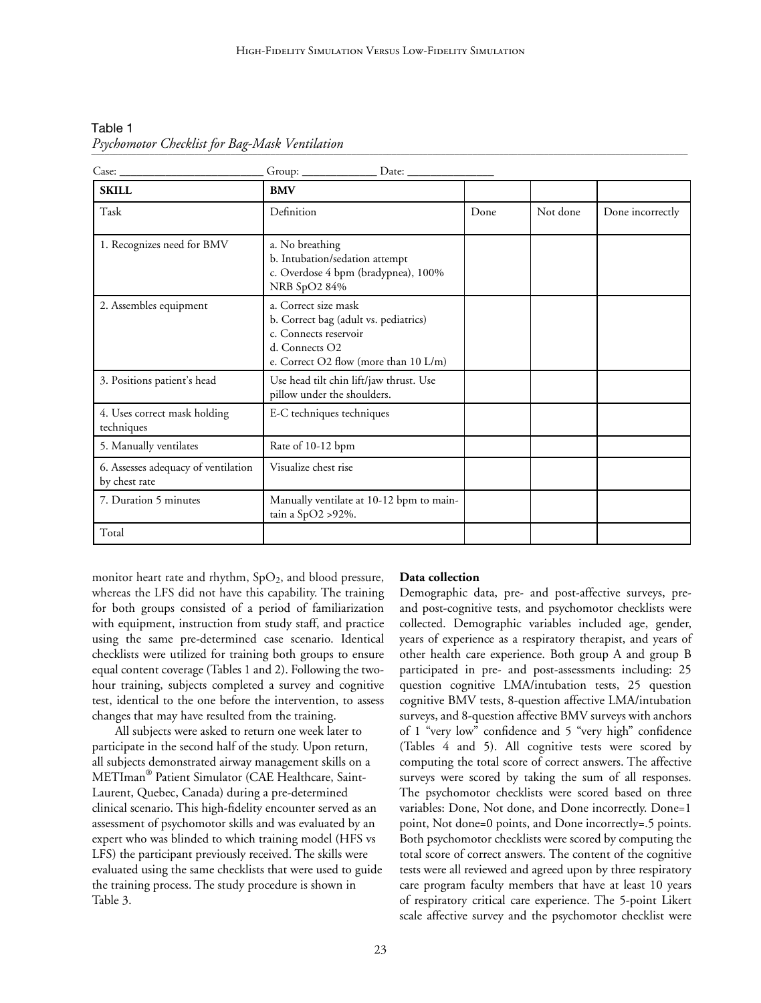| Table 1                                        |  |
|------------------------------------------------|--|
| Psychomotor Checklist for Bag-Mask Ventilation |  |

| Case:                                                | Date: $\_\_$                                                                                                                                      |      |          |                  |
|------------------------------------------------------|---------------------------------------------------------------------------------------------------------------------------------------------------|------|----------|------------------|
| <b>SKILL</b>                                         | <b>BMV</b>                                                                                                                                        |      |          |                  |
| Task                                                 | Definition                                                                                                                                        | Done | Not done | Done incorrectly |
| 1. Recognizes need for BMV                           | a. No breathing<br>b. Intubation/sedation attempt<br>c. Overdose 4 bpm (bradypnea), 100%<br>NRB SpO2 84%                                          |      |          |                  |
| 2. Assembles equipment                               | a. Correct size mask<br>b. Correct bag (adult vs. pediatrics)<br>c. Connects reservoir<br>d. Connects O2<br>e. Correct O2 flow (more than 10 L/m) |      |          |                  |
| 3. Positions patient's head                          | Use head tilt chin lift/jaw thrust. Use<br>pillow under the shoulders.                                                                            |      |          |                  |
| 4. Uses correct mask holding<br>techniques           | E-C techniques techniques                                                                                                                         |      |          |                  |
| 5. Manually ventilates                               | Rate of 10-12 bpm                                                                                                                                 |      |          |                  |
| 6. Assesses adequacy of ventilation<br>by chest rate | Visualize chest rise                                                                                                                              |      |          |                  |
| 7. Duration 5 minutes                                | Manually ventilate at 10-12 bpm to main-<br>tain a SpO2 > 92%.                                                                                    |      |          |                  |
| Total                                                |                                                                                                                                                   |      |          |                  |

monitor heart rate and rhythm,  $SpO<sub>2</sub>$ , and blood pressure, whereas the LFS did not have this capability. The training for both groups consisted of a period of familiarization with equipment, instruction from study staff, and practice using the same pre-determined case scenario. Identical checklists were utilized for training both groups to ensure equal content coverage (Tables 1 and 2). Following the twohour training, subjects completed a survey and cognitive test, identical to the one before the intervention, to assess changes that may have resulted from the training.

All subjects were asked to return one week later to participate in the second half of the study. Upon return, all subjects demonstrated airway management skills on a METIman® Patient Simulator (CAE Healthcare, Saint-Laurent, Quebec, Canada) during a pre-determined clinical scenario. This high-fidelity encounter served as an assessment of psychomotor skills and was evaluated by an expert who was blinded to which training model (HFS vs LFS) the participant previously received. The skills were evaluated using the same checklists that were used to guide the training process. The study procedure is shown in Table 3.

# **Data collection**

Demographic data, pre- and post-affective surveys, preand post-cognitive tests, and psychomotor checklists were collected. Demographic variables included age, gender, years of experience as a respiratory therapist, and years of other health care experience. Both group A and group B participated in pre- and post-assessments including: 25 question cognitive LMA/intubation tests, 25 question cognitive BMV tests, 8-question affective LMA/intubation surveys, and 8-question affective BMV surveys with anchors of 1 "very low" confidence and 5 "very high" confidence (Tables 4 and 5). All cognitive tests were scored by computing the total score of correct answers. The affective surveys were scored by taking the sum of all responses. The psychomotor checklists were scored based on three variables: Done, Not done, and Done incorrectly. Done=1 point, Not done=0 points, and Done incorrectly=.5 points. Both psychomotor checklists were scored by computing the total score of correct answers. The content of the cognitive tests were all reviewed and agreed upon by three respiratory care program faculty members that have at least 10 years of respiratory critical care experience. The 5-point Likert scale affective survey and the psychomotor checklist were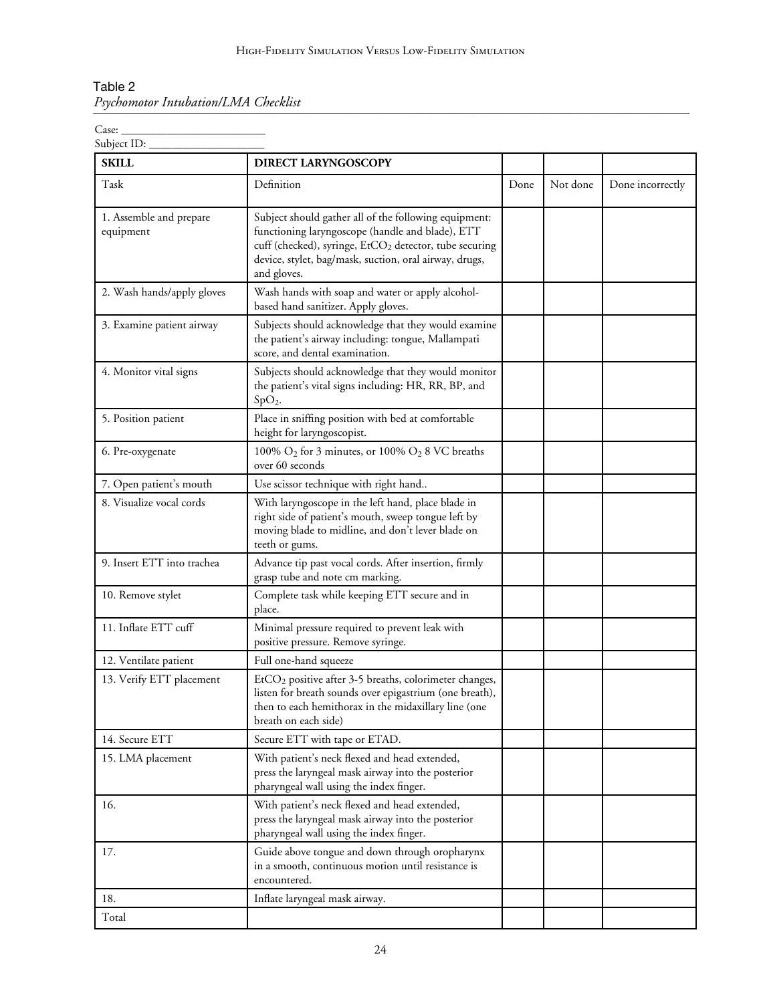| Table 2                              |  |
|--------------------------------------|--|
| Psychomotor Intubation/LMA Checklist |  |

Case: \_\_\_\_\_\_\_\_\_\_\_\_\_\_\_\_\_\_\_\_\_\_\_\_\_

| <b>SKILL</b>                         | <b>DIRECT LARYNGOSCOPY</b>                                                                                                                                                                                                                               |      |          |                  |
|--------------------------------------|----------------------------------------------------------------------------------------------------------------------------------------------------------------------------------------------------------------------------------------------------------|------|----------|------------------|
| Task                                 | Definition                                                                                                                                                                                                                                               | Done | Not done | Done incorrectly |
| 1. Assemble and prepare<br>equipment | Subject should gather all of the following equipment:<br>functioning laryngoscope (handle and blade), ETT<br>cuff (checked), syringe, EtCO <sub>2</sub> detector, tube securing<br>device, stylet, bag/mask, suction, oral airway, drugs,<br>and gloves. |      |          |                  |
| 2. Wash hands/apply gloves           | Wash hands with soap and water or apply alcohol-<br>based hand sanitizer. Apply gloves.                                                                                                                                                                  |      |          |                  |
| 3. Examine patient airway            | Subjects should acknowledge that they would examine<br>the patient's airway including: tongue, Mallampati<br>score, and dental examination.                                                                                                              |      |          |                  |
| 4. Monitor vital signs               | Subjects should acknowledge that they would monitor<br>the patient's vital signs including: HR, RR, BP, and<br>$SpO2$ .                                                                                                                                  |      |          |                  |
| 5. Position patient                  | Place in sniffing position with bed at comfortable<br>height for laryngoscopist.                                                                                                                                                                         |      |          |                  |
| 6. Pre-oxygenate                     | 100% $O_2$ for 3 minutes, or 100% $O_2$ 8 VC breaths<br>over 60 seconds                                                                                                                                                                                  |      |          |                  |
| 7. Open patient's mouth              | Use scissor technique with right hand                                                                                                                                                                                                                    |      |          |                  |
| 8. Visualize vocal cords             | With laryngoscope in the left hand, place blade in<br>right side of patient's mouth, sweep tongue left by<br>moving blade to midline, and don't lever blade on<br>teeth or gums.                                                                         |      |          |                  |
| 9. Insert ETT into trachea           | Advance tip past vocal cords. After insertion, firmly<br>grasp tube and note cm marking.                                                                                                                                                                 |      |          |                  |
| 10. Remove stylet                    | Complete task while keeping ETT secure and in<br>place.                                                                                                                                                                                                  |      |          |                  |
| 11. Inflate ETT cuff                 | Minimal pressure required to prevent leak with<br>positive pressure. Remove syringe.                                                                                                                                                                     |      |          |                  |
| 12. Ventilate patient                | Full one-hand squeeze                                                                                                                                                                                                                                    |      |          |                  |
| 13. Verify ETT placement             | EtCO <sub>2</sub> positive after 3-5 breaths, colorimeter changes,<br>listen for breath sounds over epigastrium (one breath),<br>then to each hemithorax in the midaxillary line (one<br>breath on each side)                                            |      |          |                  |
| 14. Secure ETT                       | Secure ETT with tape or ETAD.                                                                                                                                                                                                                            |      |          |                  |
| 15. LMA placement                    | With patient's neck flexed and head extended,<br>press the laryngeal mask airway into the posterior<br>pharyngeal wall using the index finger.                                                                                                           |      |          |                  |
| 16.                                  | With patient's neck flexed and head extended,<br>press the laryngeal mask airway into the posterior<br>pharyngeal wall using the index finger.                                                                                                           |      |          |                  |
| 17.                                  | Guide above tongue and down through oropharynx<br>in a smooth, continuous motion until resistance is<br>encountered.                                                                                                                                     |      |          |                  |
| 18.                                  | Inflate laryngeal mask airway.                                                                                                                                                                                                                           |      |          |                  |
| Total                                |                                                                                                                                                                                                                                                          |      |          |                  |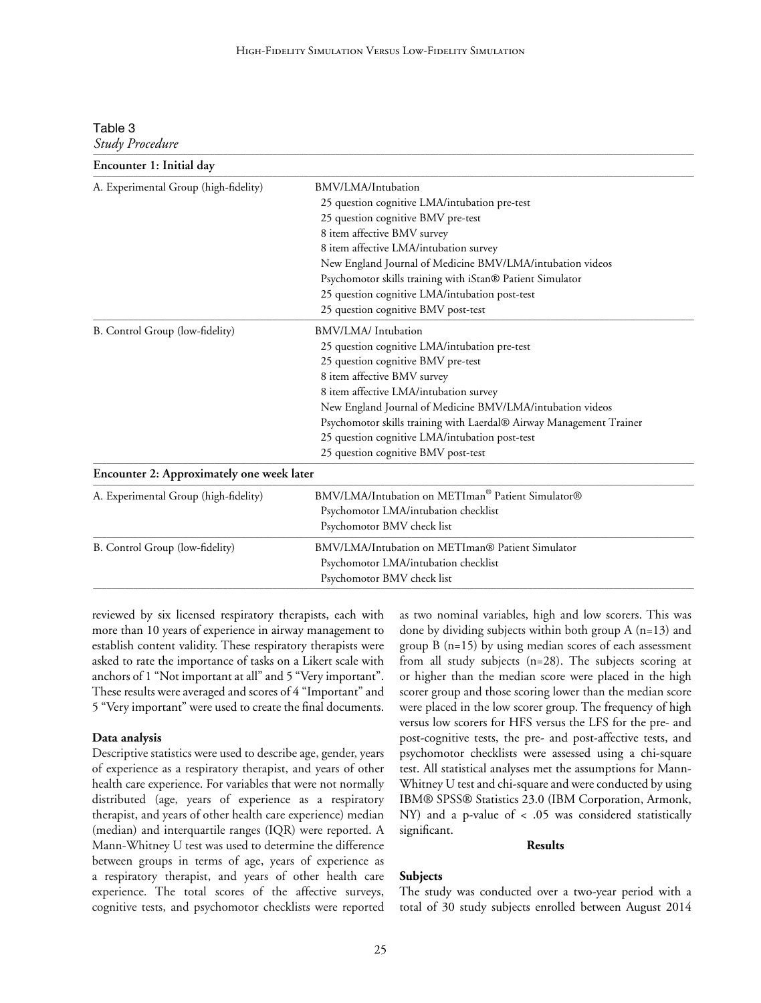| Table 3 |                        |
|---------|------------------------|
|         | <b>Study Procedure</b> |

| Encounter 1: Initial day                  |                                                                     |  |  |  |  |
|-------------------------------------------|---------------------------------------------------------------------|--|--|--|--|
| A. Experimental Group (high-fidelity)     | BMV/LMA/Intubation                                                  |  |  |  |  |
|                                           | 25 question cognitive LMA/intubation pre-test                       |  |  |  |  |
|                                           | 25 question cognitive BMV pre-test                                  |  |  |  |  |
|                                           | 8 item affective BMV survey                                         |  |  |  |  |
|                                           | 8 item affective LMA/intubation survey                              |  |  |  |  |
|                                           | New England Journal of Medicine BMV/LMA/intubation videos           |  |  |  |  |
|                                           | Psychomotor skills training with iStan® Patient Simulator           |  |  |  |  |
|                                           | 25 question cognitive LMA/intubation post-test                      |  |  |  |  |
|                                           | 25 question cognitive BMV post-test                                 |  |  |  |  |
| B. Control Group (low-fidelity)           | BMV/LMA/ Intubation                                                 |  |  |  |  |
|                                           | 25 question cognitive LMA/intubation pre-test                       |  |  |  |  |
|                                           | 25 question cognitive BMV pre-test                                  |  |  |  |  |
|                                           | 8 item affective BMV survey                                         |  |  |  |  |
|                                           | 8 item affective LMA/intubation survey                              |  |  |  |  |
|                                           | New England Journal of Medicine BMV/LMA/intubation videos           |  |  |  |  |
|                                           | Psychomotor skills training with Laerdal® Airway Management Trainer |  |  |  |  |
|                                           | 25 question cognitive LMA/intubation post-test                      |  |  |  |  |
|                                           | 25 question cognitive BMV post-test                                 |  |  |  |  |
| Encounter 2: Approximately one week later |                                                                     |  |  |  |  |
| A. Experimental Group (high-fidelity)     | BMV/LMA/Intubation on METIman® Patient Simulator®                   |  |  |  |  |
|                                           | Psychomotor LMA/intubation checklist                                |  |  |  |  |
|                                           | Psychomotor BMV check list                                          |  |  |  |  |
| B. Control Group (low-fidelity)           | BMV/LMA/Intubation on METIman® Patient Simulator                    |  |  |  |  |
|                                           | Psychomotor LMA/intubation checklist                                |  |  |  |  |
|                                           | Psychomotor BMV check list                                          |  |  |  |  |

reviewed by six licensed respiratory therapists, each with more than 10 years of experience in airway management to establish content validity. These respiratory therapists were asked to rate the importance of tasks on a Likert scale with anchors of 1 "Not important at all" and 5 "Very important". These results were averaged and scores of 4 "Important" and 5 "Very important" were used to create the final documents.

#### **Data analysis**

Descriptive statistics were used to describe age, gender, years of experience as a respiratory therapist, and years of other health care experience. For variables that were not normally distributed (age, years of experience as a respiratory therapist, and years of other health care experience) median (median) and interquartile ranges (IQR) were reported. A Mann-Whitney U test was used to determine the difference between groups in terms of age, years of experience as a respiratory therapist, and years of other health care experience. The total scores of the affective surveys, cognitive tests, and psychomotor checklists were reported

as two nominal variables, high and low scorers. This was done by dividing subjects within both group  $A$  (n=13) and group  $B(n=15)$  by using median scores of each assessment from all study subjects (n=28). The subjects scoring at or higher than the median score were placed in the high scorer group and those scoring lower than the median score were placed in the low scorer group. The frequency of high versus low scorers for HFS versus the LFS for the pre- and post-cognitive tests, the pre- and post-affective tests, and psychomotor checklists were assessed using a chi-square test. All statistical analyses met the assumptions for Mann-Whitney U test and chi-square and were conducted by using IBM® SPSS® Statistics 23.0 (IBM Corporation, Armonk, NY) and a p-value of < .05 was considered statistically significant.

#### **Results**

# **Subjects**

The study was conducted over a two-year period with a total of 30 study subjects enrolled between August 2014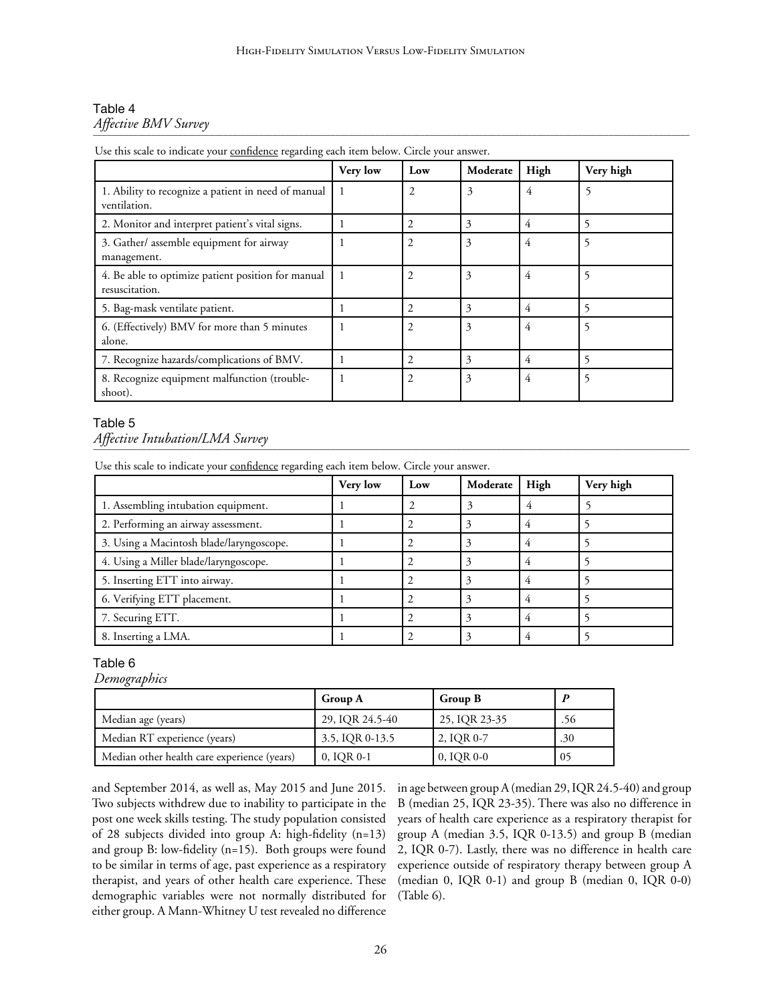#### Table 4 *Affective BMV Survey*   $\mathcal{L}_{\text{H}}$

|                                                                      | Very low | Low            | Moderate | High | Very high |
|----------------------------------------------------------------------|----------|----------------|----------|------|-----------|
| 1. Ability to recognize a patient in need of manual<br>ventilation.  | 1        | $\overline{2}$ | 3        | 4    | 5         |
| 2. Monitor and interpret patient's vital signs.                      |          | 2              | 3        | 4    | 5         |
| 3. Gather/ assemble equipment for airway<br>management.              |          | 2              | 3        | 4    | 5         |
| 4. Be able to optimize patient position for manual<br>resuscitation. | 1        | 2              | 3        | 4    | 5         |
| 5. Bag-mask ventilate patient.                                       |          | 2              | 3        | 4    |           |
| 6. (Effectively) BMV for more than 5 minutes<br>alone.               |          | 2              | 3        | 4    | 5         |
| 7. Recognize hazards/complications of BMV.                           |          | 2              | 3        | 4    |           |
| 8. Recognize equipment malfunction (trouble-<br>shoot).              |          | $\overline{c}$ | 3        | 4    |           |

Use this scale to indicate your confidence regarding each item below. Circle your answer.

# Table 5

# *Affective Intubation/LMA Survey*  \_\_\_\_\_\_\_\_\_\_\_\_\_\_\_\_\_\_\_\_\_\_\_\_\_\_\_\_\_\_\_\_\_\_\_\_\_\_\_\_\_\_\_\_\_\_\_\_\_\_\_\_\_\_\_\_\_\_\_\_\_\_\_\_\_\_\_\_\_\_\_\_\_\_\_\_\_\_\_\_\_\_\_\_\_\_\_\_\_\_\_\_\_\_\_\_\_\_\_\_\_\_\_\_\_\_\_\_\_\_\_\_\_\_\_\_\_\_\_\_\_\_\_\_\_\_\_\_\_\_\_\_\_

Use this scale to indicate your **confidence** regarding each item below. Circle your answer.

|                                          | Very low | Low | Moderate | High | Very high |
|------------------------------------------|----------|-----|----------|------|-----------|
| 1. Assembling intubation equipment.      |          |     |          |      |           |
| 2. Performing an airway assessment.      |          |     | 3        | 4    |           |
| 3. Using a Macintosh blade/laryngoscope. |          |     |          |      |           |
| 4. Using a Miller blade/laryngoscope.    |          |     |          |      |           |
| 5. Inserting ETT into airway.            |          |     |          |      |           |
| 6. Verifying ETT placement.              |          |     |          |      |           |
| 7. Securing ETT.                         |          |     |          |      |           |
| 8. Inserting a LMA.                      |          |     |          |      |           |

# Table 6

*Demographics*

|                                             | <b>Group A</b>  | Group B       |     |
|---------------------------------------------|-----------------|---------------|-----|
| Median age (years)                          | 29, IOR 24.5-40 | 25, IQR 23-35 | .56 |
| Median RT experience (years)                | 3.5, IQR 0-13.5 | 2, IOR 0-7    | .30 |
| Median other health care experience (years) | 0, IOR 0-1      | 0, IOR 0-0    | 05  |

and September 2014, as well as, May 2015 and June 2015. Two subjects withdrew due to inability to participate in the post one week skills testing. The study population consisted of 28 subjects divided into group A: high-fidelity (n=13) and group B: low-fidelity (n=15). Both groups were found to be similar in terms of age, past experience as a respiratory therapist, and years of other health care experience. These demographic variables were not normally distributed for either group. A Mann-Whitney U test revealed no difference

in age between group A (median 29, IQR 24.5-40) and group B (median 25, IQR 23-35). There was also no difference in years of health care experience as a respiratory therapist for group A (median 3.5, IQR 0-13.5) and group B (median 2, IQR 0-7). Lastly, there was no difference in health care experience outside of respiratory therapy between group A (median 0, IQR 0-1) and group B (median 0, IQR 0-0) (Table 6).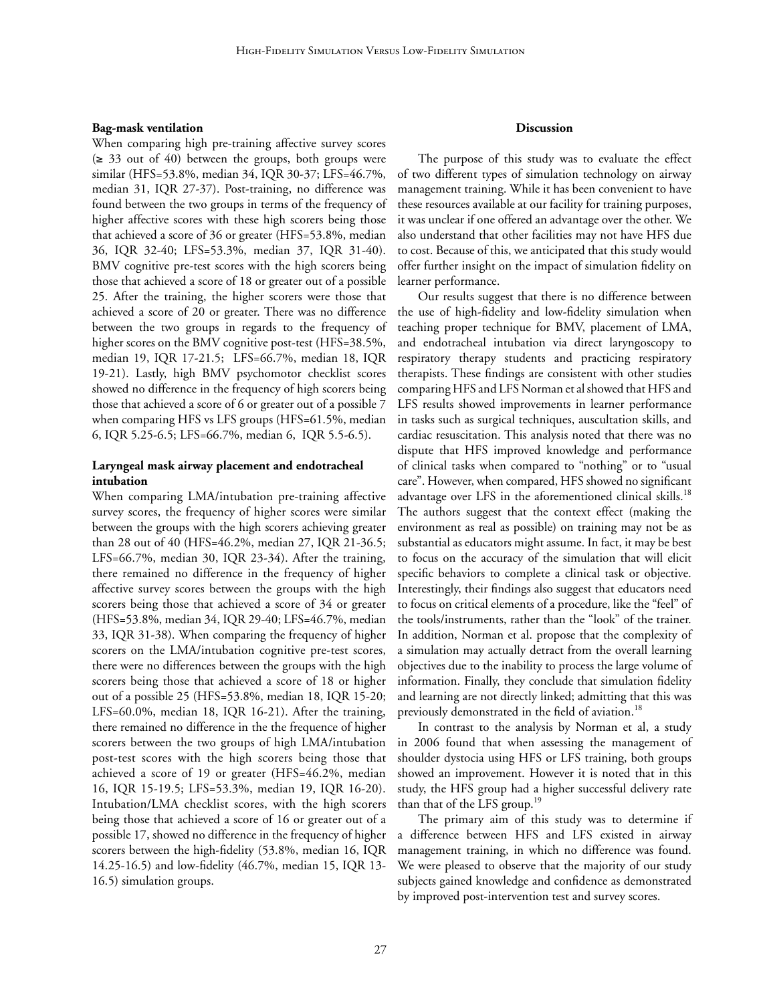## **Bag-mask ventilation**

When comparing high pre-training affective survey scores (≥ 33 out of 40) between the groups, both groups were similar (HFS=53.8%, median 34, IQR 30-37; LFS=46.7%, median 31, IQR 27-37). Post-training, no difference was found between the two groups in terms of the frequency of higher affective scores with these high scorers being those that achieved a score of 36 or greater (HFS=53.8%, median 36, IQR 32-40; LFS=53.3%, median 37, IQR 31-40). BMV cognitive pre-test scores with the high scorers being those that achieved a score of 18 or greater out of a possible 25. After the training, the higher scorers were those that achieved a score of 20 or greater. There was no difference between the two groups in regards to the frequency of higher scores on the BMV cognitive post-test (HFS=38.5%, median 19, IQR 17-21.5; LFS=66.7%, median 18, IQR 19-21). Lastly, high BMV psychomotor checklist scores showed no difference in the frequency of high scorers being those that achieved a score of 6 or greater out of a possible 7 when comparing HFS vs LFS groups (HFS=61.5%, median 6, IQR 5.25-6.5; LFS=66.7%, median 6, IQR 5.5-6.5).

# **Laryngeal mask airway placement and endotracheal intubation**

When comparing LMA/intubation pre-training affective survey scores, the frequency of higher scores were similar between the groups with the high scorers achieving greater than 28 out of 40 (HFS=46.2%, median 27, IQR 21-36.5; LFS=66.7%, median 30, IQR 23-34). After the training, there remained no difference in the frequency of higher affective survey scores between the groups with the high scorers being those that achieved a score of 34 or greater (HFS=53.8%, median 34, IQR 29-40; LFS=46.7%, median 33, IQR 31-38). When comparing the frequency of higher scorers on the LMA/intubation cognitive pre-test scores, there were no differences between the groups with the high scorers being those that achieved a score of 18 or higher out of a possible 25 (HFS=53.8%, median 18, IQR 15-20; LFS=60.0%, median 18, IQR 16-21). After the training, there remained no difference in the the frequence of higher scorers between the two groups of high LMA/intubation post-test scores with the high scorers being those that achieved a score of 19 or greater (HFS=46.2%, median 16, IQR 15-19.5; LFS=53.3%, median 19, IQR 16-20). Intubation/LMA checklist scores, with the high scorers being those that achieved a score of 16 or greater out of a possible 17, showed no difference in the frequency of higher scorers between the high-fidelity (53.8%, median 16, IQR 14.25-16.5) and low-fidelity (46.7%, median 15, IQR 13- 16.5) simulation groups.

#### **Discussion**

The purpose of this study was to evaluate the effect of two different types of simulation technology on airway management training. While it has been convenient to have these resources available at our facility for training purposes, it was unclear if one offered an advantage over the other. We also understand that other facilities may not have HFS due to cost. Because of this, we anticipated that this study would offer further insight on the impact of simulation fidelity on learner performance.

Our results suggest that there is no difference between the use of high-fidelity and low-fidelity simulation when teaching proper technique for BMV, placement of LMA, and endotracheal intubation via direct laryngoscopy to respiratory therapy students and practicing respiratory therapists. These findings are consistent with other studies comparing HFS and LFS Norman et al showed that HFS and LFS results showed improvements in learner performance in tasks such as surgical techniques, auscultation skills, and cardiac resuscitation. This analysis noted that there was no dispute that HFS improved knowledge and performance of clinical tasks when compared to "nothing" or to "usual care". However, when compared, HFS showed no significant advantage over LFS in the aforementioned clinical skills.<sup>18</sup> The authors suggest that the context effect (making the environment as real as possible) on training may not be as substantial as educators might assume. In fact, it may be best to focus on the accuracy of the simulation that will elicit specific behaviors to complete a clinical task or objective. Interestingly, their findings also suggest that educators need to focus on critical elements of a procedure, like the "feel" of the tools/instruments, rather than the "look" of the trainer. In addition, Norman et al. propose that the complexity of a simulation may actually detract from the overall learning objectives due to the inability to process the large volume of information. Finally, they conclude that simulation fidelity and learning are not directly linked; admitting that this was previously demonstrated in the field of aviation.<sup>18</sup>

In contrast to the analysis by Norman et al, a study in 2006 found that when assessing the management of shoulder dystocia using HFS or LFS training, both groups showed an improvement. However it is noted that in this study, the HFS group had a higher successful delivery rate than that of the LFS group.<sup>19</sup>

The primary aim of this study was to determine if a difference between HFS and LFS existed in airway management training, in which no difference was found. We were pleased to observe that the majority of our study subjects gained knowledge and confidence as demonstrated by improved post-intervention test and survey scores.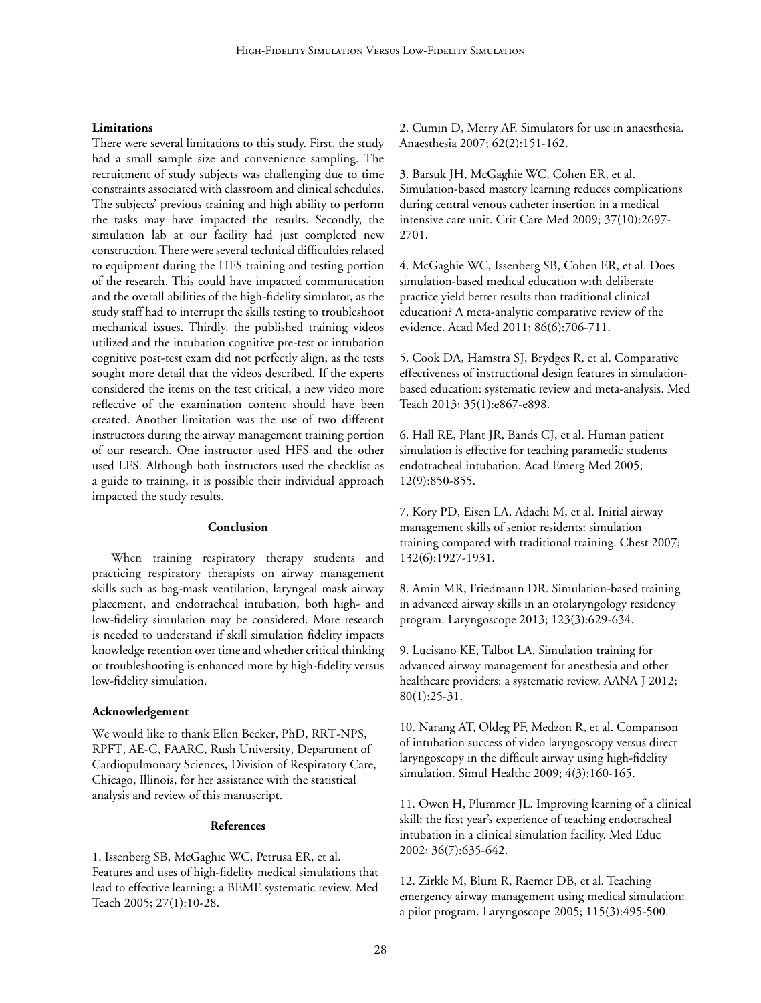#### **Limitations**

There were several limitations to this study. First, the study had a small sample size and convenience sampling. The recruitment of study subjects was challenging due to time constraints associated with classroom and clinical schedules. The subjects' previous training and high ability to perform the tasks may have impacted the results. Secondly, the simulation lab at our facility had just completed new construction. There were several technical difficulties related to equipment during the HFS training and testing portion of the research. This could have impacted communication and the overall abilities of the high-fidelity simulator, as the study staff had to interrupt the skills testing to troubleshoot mechanical issues. Thirdly, the published training videos utilized and the intubation cognitive pre-test or intubation cognitive post-test exam did not perfectly align, as the tests sought more detail that the videos described. If the experts considered the items on the test critical, a new video more reflective of the examination content should have been created. Another limitation was the use of two different instructors during the airway management training portion of our research. One instructor used HFS and the other used LFS. Although both instructors used the checklist as a guide to training, it is possible their individual approach impacted the study results.

#### **Conclusion**

When training respiratory therapy students and practicing respiratory therapists on airway management skills such as bag-mask ventilation, laryngeal mask airway placement, and endotracheal intubation, both high- and low-fidelity simulation may be considered. More research is needed to understand if skill simulation fidelity impacts knowledge retention over time and whether critical thinking or troubleshooting is enhanced more by high-fidelity versus low-fidelity simulation.

#### **Acknowledgement**

We would like to thank Ellen Becker, PhD, RRT-NPS, RPFT, AE-C, FAARC, Rush University, Department of Cardiopulmonary Sciences, Division of Respiratory Care, Chicago, Illinois, for her assistance with the statistical analysis and review of this manuscript.

#### **References**

1. Issenberg SB, McGaghie WC, Petrusa ER, et al. Features and uses of high-fidelity medical simulations that lead to effective learning: a BEME systematic review. Med Teach 2005; 27(1):10-28.

2. Cumin D, Merry AF. Simulators for use in anaesthesia. Anaesthesia 2007; 62(2):151-162.

3. Barsuk JH, McGaghie WC, Cohen ER, et al. Simulation-based mastery learning reduces complications during central venous catheter insertion in a medical intensive care unit. Crit Care Med 2009; 37(10):2697- 2701.

4. McGaghie WC, Issenberg SB, Cohen ER, et al. Does simulation-based medical education with deliberate practice yield better results than traditional clinical education? A meta-analytic comparative review of the evidence. Acad Med 2011; 86(6):706-711.

5. Cook DA, Hamstra SJ, Brydges R, et al. Comparative effectiveness of instructional design features in simulationbased education: systematic review and meta-analysis. Med Teach 2013; 35(1):e867-e898.

6. Hall RE, Plant JR, Bands CJ, et al. Human patient simulation is effective for teaching paramedic students endotracheal intubation. Acad Emerg Med 2005; 12(9):850-855.

7. Kory PD, Eisen LA, Adachi M, et al. Initial airway management skills of senior residents: simulation training compared with traditional training. Chest 2007; 132(6):1927-1931.

8. Amin MR, Friedmann DR. Simulation-based training in advanced airway skills in an otolaryngology residency program. Laryngoscope 2013; 123(3):629-634.

9. Lucisano KE, Talbot LA. Simulation training for advanced airway management for anesthesia and other healthcare providers: a systematic review. AANA J 2012; 80(1):25-31.

10. Narang AT, Oldeg PF, Medzon R, et al. Comparison of intubation success of video laryngoscopy versus direct laryngoscopy in the difficult airway using high-fidelity simulation. Simul Healthc 2009; 4(3):160-165.

11. Owen H, Plummer JL. Improving learning of a clinical skill: the first year's experience of teaching endotracheal intubation in a clinical simulation facility. Med Educ 2002; 36(7):635-642.

12. Zirkle M, Blum R, Raemer DB, et al. Teaching emergency airway management using medical simulation: a pilot program. Laryngoscope 2005; 115(3):495-500.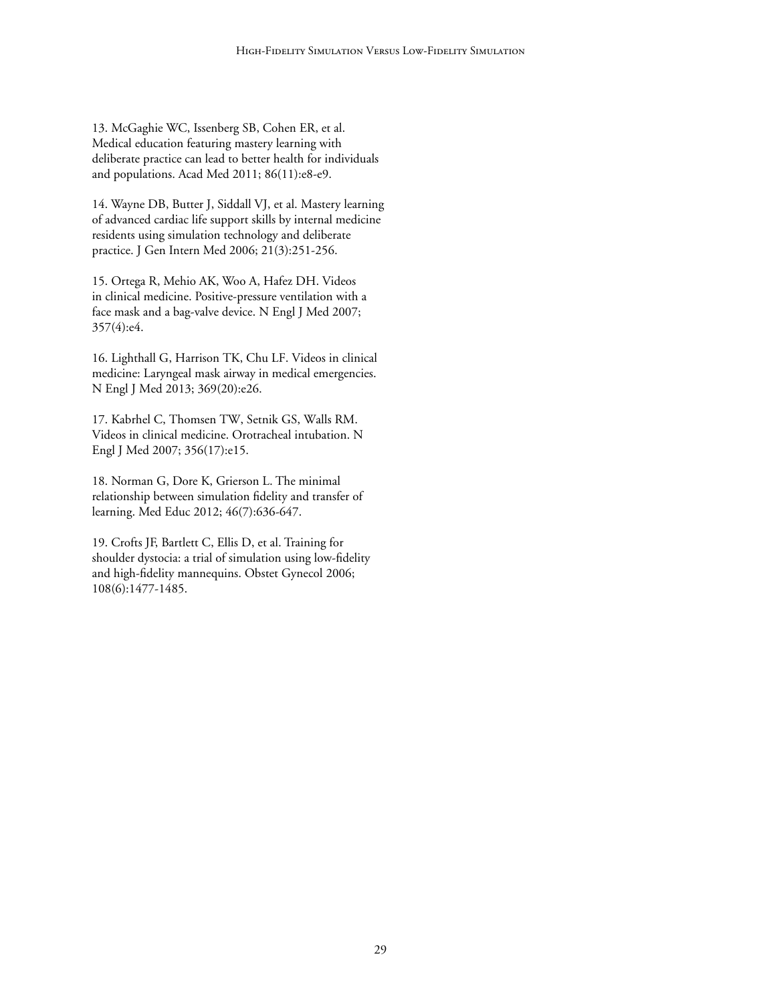13. McGaghie WC, Issenberg SB, Cohen ER, et al. Medical education featuring mastery learning with deliberate practice can lead to better health for individuals and populations. Acad Med 2011; 86(11):e8-e9.

14. Wayne DB, Butter J, Siddall VJ, et al. Mastery learning of advanced cardiac life support skills by internal medicine residents using simulation technology and deliberate practice. J Gen Intern Med 2006; 21(3):251-256.

15. Ortega R, Mehio AK, Woo A, Hafez DH. Videos in clinical medicine. Positive-pressure ventilation with a face mask and a bag-valve device. N Engl J Med 2007; 357(4):e4.

16. Lighthall G, Harrison TK, Chu LF. Videos in clinical medicine: Laryngeal mask airway in medical emergencies. N Engl J Med 2013; 369(20):e26.

17. Kabrhel C, Thomsen TW, Setnik GS, Walls RM. Videos in clinical medicine. Orotracheal intubation. N Engl J Med 2007; 356(17):e15.

18. Norman G, Dore K, Grierson L. The minimal relationship between simulation fidelity and transfer of learning. Med Educ 2012; 46(7):636-647.

19. Crofts JF, Bartlett C, Ellis D, et al. Training for shoulder dystocia: a trial of simulation using low-fidelity and high-fidelity mannequins. Obstet Gynecol 2006; 108(6):1477-1485.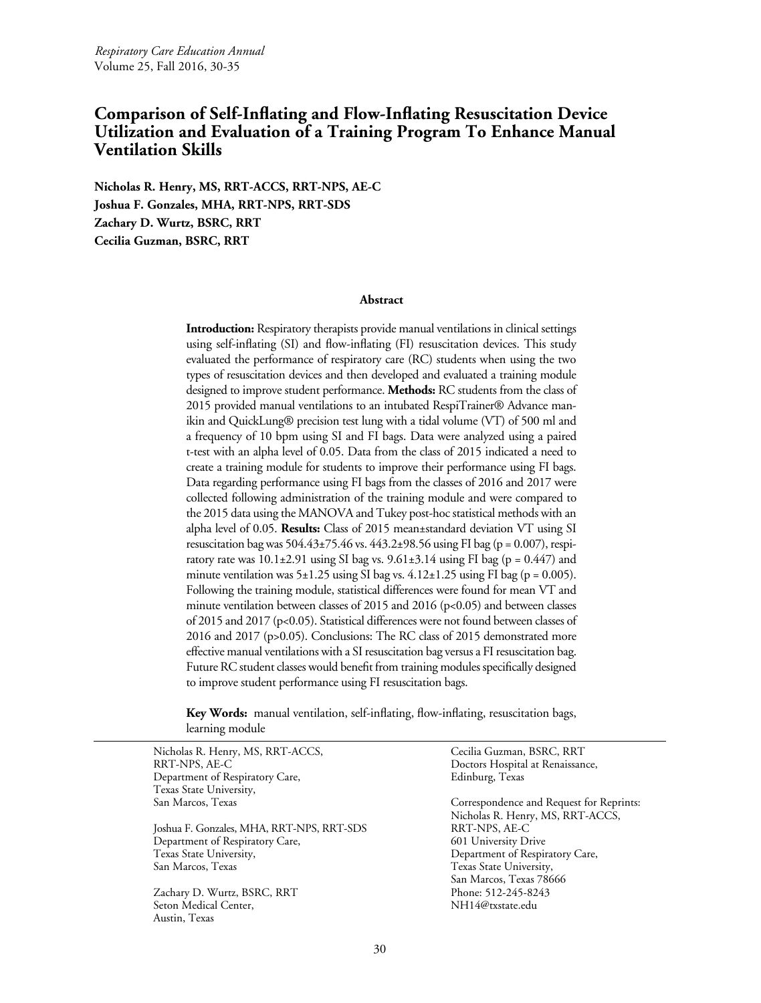# <span id="page-29-0"></span>**Comparison of Self-Inflating and Flow-Inflating Resuscitation Device Utilization and Evaluation of a Training Program To Enhance Manual Ventilation Skills**

**Nicholas R. Henry, MS, RRT-ACCS, RRT-NPS, AE-C Joshua F. Gonzales, MHA, RRT-NPS, RRT-SDS Zachary D. Wurtz, BSRC, RRT Cecilia Guzman, BSRC, RRT** 

#### **Abstract**

**Introduction:** Respiratory therapists provide manual ventilations in clinical settings using self-inflating (SI) and flow-inflating (FI) resuscitation devices. This study evaluated the performance of respiratory care (RC) students when using the two types of resuscitation devices and then developed and evaluated a training module designed to improve student performance. **Methods:** RC students from the class of 2015 provided manual ventilations to an intubated RespiTrainer® Advance manikin and QuickLung® precision test lung with a tidal volume (VT) of 500 ml and a frequency of 10 bpm using SI and FI bags. Data were analyzed using a paired t-test with an alpha level of 0.05. Data from the class of 2015 indicated a need to create a training module for students to improve their performance using FI bags. Data regarding performance using FI bags from the classes of 2016 and 2017 were collected following administration of the training module and were compared to the 2015 data using the MANOVA and Tukey post-hoc statistical methods with an alpha level of 0.05. **Results:** Class of 2015 mean±standard deviation VT using SI resuscitation bag was  $504.43 \pm 75.46$  vs.  $443.2 \pm 98.56$  using FI bag (p = 0.007), respiratory rate was  $10.1\pm2.91$  using SI bag vs.  $9.61\pm3.14$  using FI bag (p = 0.447) and minute ventilation was  $5\pm1.25$  using SI bag vs.  $4.12\pm1.25$  using FI bag (p = 0.005). Following the training module, statistical differences were found for mean VT and minute ventilation between classes of 2015 and 2016 (p<0.05) and between classes of 2015 and 2017 (p<0.05). Statistical differences were not found between classes of 2016 and 2017 (p>0.05). Conclusions: The RC class of 2015 demonstrated more effective manual ventilations with a SI resuscitation bag versus a FI resuscitation bag. Future RC student classes would benefit from training modules specifically designed to improve student performance using FI resuscitation bags.

**Key Words:** manual ventilation, self-inflating, flow-inflating, resuscitation bags, learning module

Nicholas R. Henry, MS, RRT-ACCS, RRT-NPS, AE-C Department of Respiratory Care, Texas State University, San Marcos, Texas

Joshua F. Gonzales, MHA, RRT-NPS, RRT-SDS Department of Respiratory Care, Texas State University, San Marcos, Texas

Zachary D. Wurtz, BSRC, RRT Seton Medical Center, Austin, Texas

Cecilia Guzman, BSRC, RRT Doctors Hospital at Renaissance, Edinburg, Texas

Correspondence and Request for Reprints: Nicholas R. Henry, MS, RRT-ACCS, RRT-NPS, AE-C 601 University Drive Department of Respiratory Care, Texas State University, San Marcos, Texas 78666 Phone: 512-245-8243 NH14@txstate.edu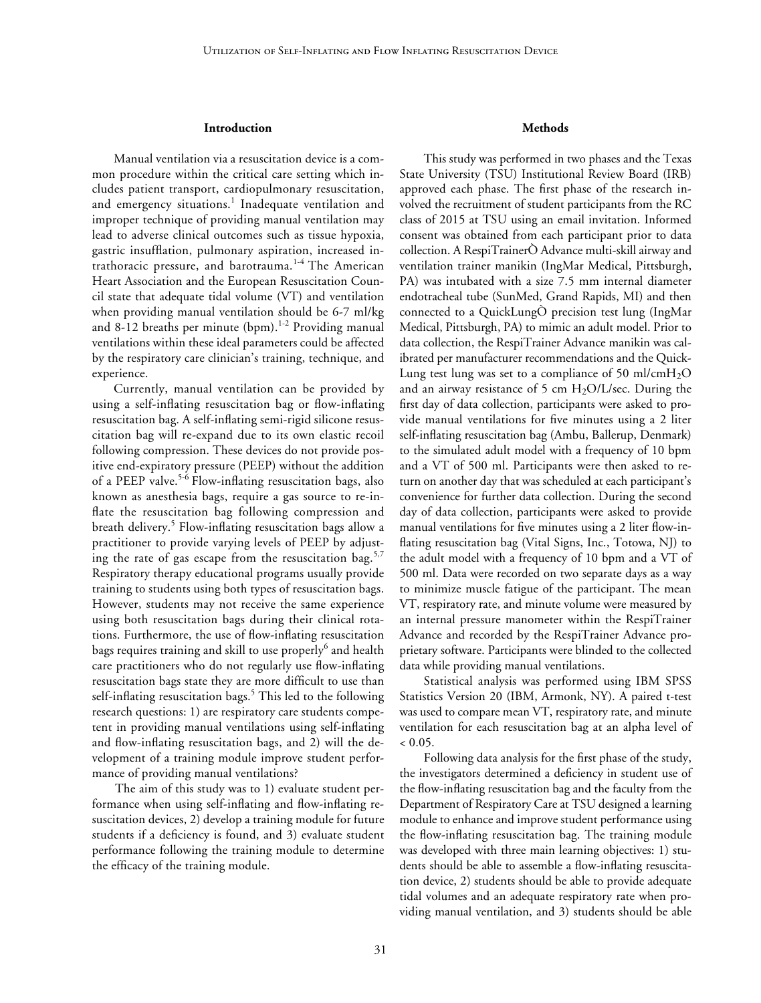#### **Introduction**

Manual ventilation via a resuscitation device is a common procedure within the critical care setting which includes patient transport, cardiopulmonary resuscitation, and emergency situations.<sup>1</sup> Inadequate ventilation and improper technique of providing manual ventilation may lead to adverse clinical outcomes such as tissue hypoxia, gastric insufflation, pulmonary aspiration, increased intrathoracic pressure, and barotrauma.<sup>1-4</sup> The American Heart Association and the European Resuscitation Council state that adequate tidal volume (VT) and ventilation when providing manual ventilation should be 6-7 ml/kg and 8-12 breaths per minute (bpm).<sup>1-2</sup> Providing manual ventilations within these ideal parameters could be affected by the respiratory care clinician's training, technique, and experience.

Currently, manual ventilation can be provided by using a self-inflating resuscitation bag or flow-inflating resuscitation bag. A self-inflating semi-rigid silicone resuscitation bag will re-expand due to its own elastic recoil following compression. These devices do not provide positive end-expiratory pressure (PEEP) without the addition of a PEEP valve.<sup>5-6</sup> Flow-inflating resuscitation bags, also known as anesthesia bags, require a gas source to re-inflate the resuscitation bag following compression and breath delivery.<sup>5</sup> Flow-inflating resuscitation bags allow a practitioner to provide varying levels of PEEP by adjusting the rate of gas escape from the resuscitation bag.<sup>5,7</sup> Respiratory therapy educational programs usually provide training to students using both types of resuscitation bags. However, students may not receive the same experience using both resuscitation bags during their clinical rotations. Furthermore, the use of flow-inflating resuscitation bags requires training and skill to use properly $^6$  and health care practitioners who do not regularly use flow-inflating resuscitation bags state they are more difficult to use than self-inflating resuscitation bags.<sup>5</sup> This led to the following research questions: 1) are respiratory care students competent in providing manual ventilations using self-inflating and flow-inflating resuscitation bags, and 2) will the development of a training module improve student performance of providing manual ventilations?

The aim of this study was to 1) evaluate student performance when using self-inflating and flow-inflating resuscitation devices, 2) develop a training module for future students if a deficiency is found, and 3) evaluate student performance following the training module to determine the efficacy of the training module.

## **Methods**

This study was performed in two phases and the Texas State University (TSU) Institutional Review Board (IRB) approved each phase. The first phase of the research involved the recruitment of student participants from the RC class of 2015 at TSU using an email invitation. Informed consent was obtained from each participant prior to data collection. A RespiTrainerÒ Advance multi-skill airway and ventilation trainer manikin (IngMar Medical, Pittsburgh, PA) was intubated with a size 7.5 mm internal diameter endotracheal tube (SunMed, Grand Rapids, MI) and then connected to a QuickLungÒ precision test lung (IngMar Medical, Pittsburgh, PA) to mimic an adult model. Prior to data collection, the RespiTrainer Advance manikin was calibrated per manufacturer recommendations and the Quick-Lung test lung was set to a compliance of 50 ml/cm $H_2O$ and an airway resistance of 5 cm  $H_2O/L/sec$ . During the first day of data collection, participants were asked to provide manual ventilations for five minutes using a 2 liter self-inflating resuscitation bag (Ambu, Ballerup, Denmark) to the simulated adult model with a frequency of 10 bpm and a VT of 500 ml. Participants were then asked to return on another day that was scheduled at each participant's convenience for further data collection. During the second day of data collection, participants were asked to provide manual ventilations for five minutes using a 2 liter flow-inflating resuscitation bag (Vital Signs, Inc., Totowa, NJ) to the adult model with a frequency of 10 bpm and a VT of 500 ml. Data were recorded on two separate days as a way to minimize muscle fatigue of the participant. The mean VT, respiratory rate, and minute volume were measured by an internal pressure manometer within the RespiTrainer Advance and recorded by the RespiTrainer Advance proprietary software. Participants were blinded to the collected data while providing manual ventilations.

Statistical analysis was performed using IBM SPSS Statistics Version 20 (IBM, Armonk, NY). A paired t-test was used to compare mean VT, respiratory rate, and minute ventilation for each resuscitation bag at an alpha level of  $< 0.05$ .

Following data analysis for the first phase of the study, the investigators determined a deficiency in student use of the flow-inflating resuscitation bag and the faculty from the Department of Respiratory Care at TSU designed a learning module to enhance and improve student performance using the flow-inflating resuscitation bag. The training module was developed with three main learning objectives: 1) students should be able to assemble a flow-inflating resuscitation device, 2) students should be able to provide adequate tidal volumes and an adequate respiratory rate when providing manual ventilation, and 3) students should be able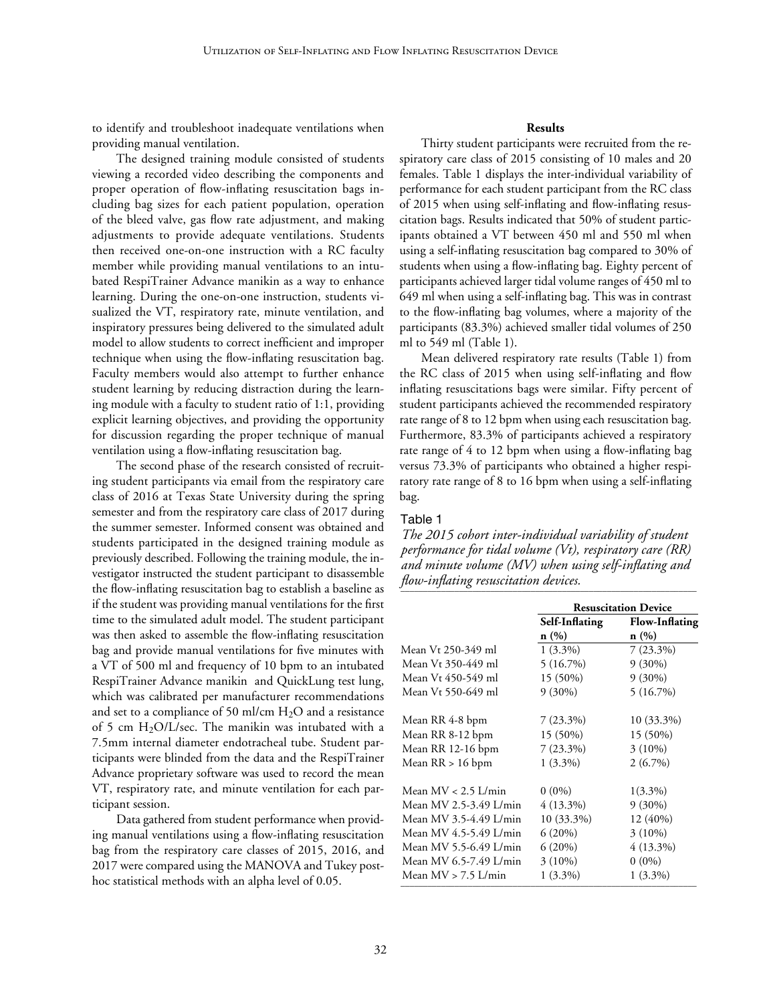to identify and troubleshoot inadequate ventilations when providing manual ventilation.

The designed training module consisted of students viewing a recorded video describing the components and proper operation of flow-inflating resuscitation bags including bag sizes for each patient population, operation of the bleed valve, gas flow rate adjustment, and making adjustments to provide adequate ventilations. Students then received one-on-one instruction with a RC faculty member while providing manual ventilations to an intubated RespiTrainer Advance manikin as a way to enhance learning. During the one-on-one instruction, students visualized the VT, respiratory rate, minute ventilation, and inspiratory pressures being delivered to the simulated adult model to allow students to correct inefficient and improper technique when using the flow-inflating resuscitation bag. Faculty members would also attempt to further enhance student learning by reducing distraction during the learning module with a faculty to student ratio of 1:1, providing explicit learning objectives, and providing the opportunity for discussion regarding the proper technique of manual ventilation using a flow-inflating resuscitation bag.

The second phase of the research consisted of recruiting student participants via email from the respiratory care class of 2016 at Texas State University during the spring semester and from the respiratory care class of 2017 during the summer semester. Informed consent was obtained and students participated in the designed training module as previously described. Following the training module, the investigator instructed the student participant to disassemble the flow-inflating resuscitation bag to establish a baseline as if the student was providing manual ventilations for the first time to the simulated adult model. The student participant was then asked to assemble the flow-inflating resuscitation bag and provide manual ventilations for five minutes with a VT of 500 ml and frequency of 10 bpm to an intubated RespiTrainer Advance manikin and QuickLung test lung, which was calibrated per manufacturer recommendations and set to a compliance of 50 ml/cm  $H_2O$  and a resistance of 5 cm  $H_2O/L/sec$ . The manikin was intubated with a 7.5mm internal diameter endotracheal tube. Student participants were blinded from the data and the RespiTrainer Advance proprietary software was used to record the mean VT, respiratory rate, and minute ventilation for each participant session.

Data gathered from student performance when providing manual ventilations using a flow-inflating resuscitation bag from the respiratory care classes of 2015, 2016, and 2017 were compared using the MANOVA and Tukey posthoc statistical methods with an alpha level of 0.05.

# **Results**

Thirty student participants were recruited from the respiratory care class of 2015 consisting of 10 males and 20 females. Table 1 displays the inter-individual variability of performance for each student participant from the RC class of 2015 when using self-inflating and flow-inflating resuscitation bags. Results indicated that 50% of student participants obtained a VT between 450 ml and 550 ml when using a self-inflating resuscitation bag compared to 30% of students when using a flow-inflating bag. Eighty percent of participants achieved larger tidal volume ranges of 450 ml to 649 ml when using a self-inflating bag. This was in contrast to the flow-inflating bag volumes, where a majority of the participants (83.3%) achieved smaller tidal volumes of 250 ml to 549 ml (Table 1).

Mean delivered respiratory rate results (Table 1) from the RC class of 2015 when using self-inflating and flow inflating resuscitations bags were similar. Fifty percent of student participants achieved the recommended respiratory rate range of 8 to 12 bpm when using each resuscitation bag. Furthermore, 83.3% of participants achieved a respiratory rate range of 4 to 12 bpm when using a flow-inflating bag versus 73.3% of participants who obtained a higher respiratory rate range of 8 to 16 bpm when using a self-inflating bag.

#### Table 1

*The 2015 cohort inter-individual variability of student performance for tidal volume (Vt), respiratory care (RR) and minute volume (MV) when using self-inflating and flow-inflating resuscitation devices.*  \_\_\_\_\_\_\_\_\_\_\_\_\_\_\_\_\_\_\_\_\_\_\_\_\_\_\_\_\_\_\_\_\_\_\_\_\_\_\_\_\_\_\_\_\_\_\_\_\_\_\_\_\_\_\_\_\_\_\_\_\_\_\_\_\_\_

|                        | <b>Resuscitation Device</b> |                       |  |
|------------------------|-----------------------------|-----------------------|--|
|                        | Self-Inflating              | <b>Flow-Inflating</b> |  |
|                        | n(%)                        | n(%)                  |  |
| Mean Vt 250-349 ml     | $1(3.3\%)$                  | $7(23.3\%)$           |  |
| Mean Vt 350-449 ml     | 5(16.7%)                    | $9(30\%)$             |  |
| Mean Vt 450-549 ml     | $15(50\%)$                  | $9(30\%)$             |  |
| Mean Vt 550-649 ml     | $9(30\%)$                   | $5(16.7\%)$           |  |
| Mean RR 4-8 bpm        | $7(23.3\%)$                 | 10 (33.3%)            |  |
| Mean RR 8-12 bpm       | $15(50\%)$                  | 15 (50%)              |  |
| Mean RR 12-16 bpm      | $7(23.3\%)$                 | $3(10\%)$             |  |
| Mean $RR > 16$ bpm     | $1(3.3\%)$                  | $2(6.7\%)$            |  |
| Mean $MV < 2.5$ L/min  | $0(0\%)$                    | $1(3.3\%)$            |  |
| Mean MV 2.5-3.49 L/min | 4 (13.3%)                   | $9(30\%)$             |  |
| Mean MV 3.5-4.49 L/min | $10(33.3\%)$                | 12 (40%)              |  |
| Mean MV 4.5-5.49 L/min | $6(20\%)$                   | $3(10\%)$             |  |
| Mean MV 5.5-6.49 L/min | $6(20\%)$                   | $4(13.3\%)$           |  |
| Mean MV 6.5-7.49 L/min | $3(10\%)$                   | $0(0\%)$              |  |
| Mean $MV > 7.5$ L/min  | $1(3.3\%)$                  | $1(3.3\%)$            |  |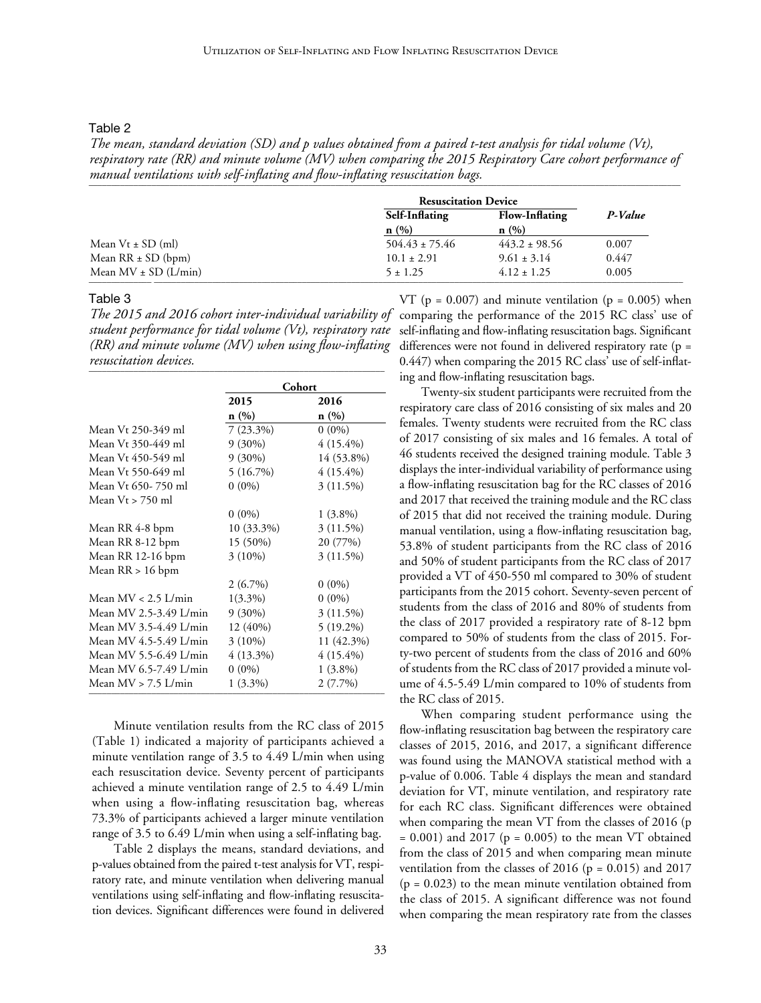Table 2

*The mean, standard deviation (SD) and p values obtained from a paired t-test analysis for tidal volume (Vt), respiratory rate (RR) and minute volume (MV) when comparing the 2015 Respiratory Care cohort performance of manual ventilations with self-inflating and flow-inflating resuscitation bags.*  \_\_\_\_\_\_\_\_\_\_\_\_\_\_\_\_\_\_\_\_\_\_\_\_\_\_\_\_\_\_\_\_\_\_\_\_\_\_\_\_\_\_\_\_\_\_\_\_\_\_\_\_\_\_\_\_\_\_\_\_\_\_\_\_\_\_\_\_\_\_\_\_\_\_\_\_\_\_\_\_\_\_\_\_\_\_\_\_\_\_\_\_\_\_\_\_\_\_\_\_\_\_\_\_\_\_\_\_\_\_\_\_\_\_\_\_\_\_\_\_\_\_\_\_\_\_\_\_\_\_\_\_

|                          |                    | <b>Resuscitation Device</b> |         |
|--------------------------|--------------------|-----------------------------|---------|
|                          | Self-Inflating     | Flow-Inflating              | P-Value |
|                          | n(%)               | n(%)                        |         |
| Mean $Vt \pm SD$ (ml)    | $504.43 \pm 75.46$ | $443.2 \pm 98.56$           | 0.007   |
| Mean $RR \pm SD$ (bpm)   | $10.1 \pm 2.91$    | $9.61 \pm 3.14$             | 0.447   |
| Mean $MV \pm SD (L/min)$ | $5 \pm 1.25$       | $4.12 \pm 1.25$             | 0.005   |

#### Table 3

*student performance for tidal volume (Vt), respiratory rate (RR) and minute volume (MV) when using flow-inflating resuscitation devices.*  \_\_\_\_\_\_\_\_\_\_\_\_\_\_\_\_\_\_\_\_\_\_\_\_\_\_\_\_\_\_\_\_\_\_\_\_\_\_\_\_\_\_\_\_\_\_\_\_\_\_\_\_\_\_\_\_\_\_\_\_\_\_\_\_\_\_

|                        | Cohort      |             |
|------------------------|-------------|-------------|
|                        | 2015        | 2016        |
|                        | n(%)        | n(%)        |
| Mean Vt 250-349 ml     | $7(23.3\%)$ | $0(0\%)$    |
| Mean Vt 350-449 ml     | $9(30\%)$   | $4(15.4\%)$ |
| Mean Vt 450-549 ml     | $9(30\%)$   | 14 (53.8%)  |
| Mean Vt 550-649 ml     | 5(16.7%)    | $4(15.4\%)$ |
| Mean Vt 650-750 ml     | $0(0\%)$    | $3(11.5\%)$ |
| Mean $Vt > 750$ ml     |             |             |
|                        | $0(0\%)$    | $1(3.8\%)$  |
| Mean RR 4-8 bpm        | 10 (33.3%)  | 3 (11.5%)   |
| Mean RR 8-12 bpm       | 15 (50%)    | 20 (77%)    |
| Mean RR 12-16 bpm      | $3(10\%)$   | 3 (11.5%)   |
| Mean RR > 16 bpm       |             |             |
|                        | $2(6.7\%)$  | $0(0\%)$    |
| Mean $MV < 2.5$ L/min  | $1(3.3\%)$  | $0(0\%)$    |
| Mean MV 2.5-3.49 L/min | $9(30\%)$   | 3 (11.5%)   |
| Mean MV 3.5-4.49 L/min | 12 (40%)    | 5 (19.2%)   |
| Mean MV 4.5-5.49 L/min | $3(10\%)$   | 11 (42.3%)  |
| Mean MV 5.5-6.49 L/min | $4(13.3\%)$ | $4(15.4\%)$ |
| Mean MV 6.5-7.49 L/min | $0(0\%)$    | $1(3.8\%)$  |
| Mean $MV > 7.5$ L/min  | $1(3.3\%)$  | 2 (7.7%)    |

Minute ventilation results from the RC class of 2015 (Table 1) indicated a majority of participants achieved a minute ventilation range of 3.5 to 4.49 L/min when using each resuscitation device. Seventy percent of participants achieved a minute ventilation range of 2.5 to 4.49 L/min when using a flow-inflating resuscitation bag, whereas 73.3% of participants achieved a larger minute ventilation range of 3.5 to 6.49 L/min when using a self-inflating bag.

Table 2 displays the means, standard deviations, and p-values obtained from the paired t-test analysis for VT, respiratory rate, and minute ventilation when delivering manual ventilations using self-inflating and flow-inflating resuscitation devices. Significant differences were found in delivered

 $VT$  (p = 0.007) and minute ventilation (p = 0.005) when The 2015 and 2016 cohort inter-individual variability of comparing the performance of the 2015 RC class' use of self-inflating and flow-inflating resuscitation bags. Significant differences were not found in delivered respiratory rate (p = 0.447) when comparing the 2015 RC class' use of self-inflating and flow-inflating resuscitation bags.

> Twenty-six student participants were recruited from the respiratory care class of 2016 consisting of six males and 20 females. Twenty students were recruited from the RC class of 2017 consisting of six males and 16 females. A total of 46 students received the designed training module. Table 3 displays the inter-individual variability of performance using a flow-inflating resuscitation bag for the RC classes of 2016 and 2017 that received the training module and the RC class of 2015 that did not received the training module. During manual ventilation, using a flow-inflating resuscitation bag, 53.8% of student participants from the RC class of 2016 and 50% of student participants from the RC class of 2017 provided a VT of 450-550 ml compared to 30% of student participants from the 2015 cohort. Seventy-seven percent of students from the class of 2016 and 80% of students from the class of 2017 provided a respiratory rate of 8-12 bpm compared to 50% of students from the class of 2015. Forty-two percent of students from the class of 2016 and 60% of students from the RC class of 2017 provided a minute volume of 4.5-5.49 L/min compared to 10% of students from the RC class of 2015.

> When comparing student performance using the flow-inflating resuscitation bag between the respiratory care classes of 2015, 2016, and 2017, a significant difference was found using the MANOVA statistical method with a p-value of 0.006. Table 4 displays the mean and standard deviation for VT, minute ventilation, and respiratory rate for each RC class. Significant differences were obtained when comparing the mean VT from the classes of 2016 (p  $= 0.001$ ) and 2017 (p  $= 0.005$ ) to the mean VT obtained from the class of 2015 and when comparing mean minute ventilation from the classes of 2016 ( $p = 0.015$ ) and 2017  $(p = 0.023)$  to the mean minute ventilation obtained from the class of 2015. A significant difference was not found when comparing the mean respiratory rate from the classes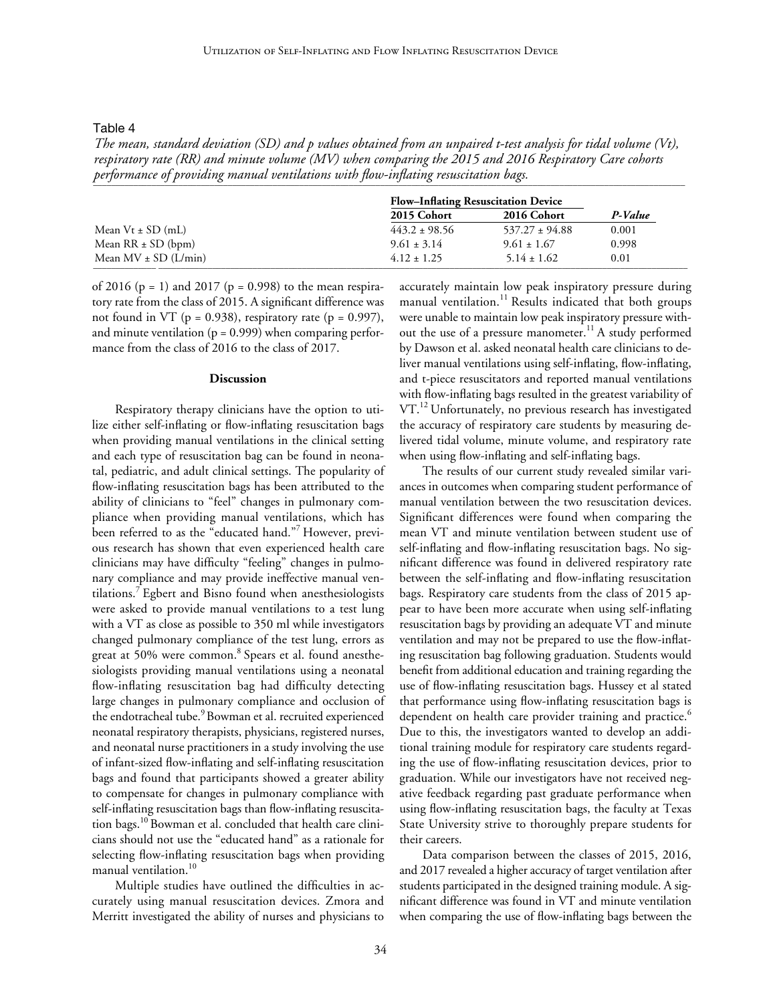Table 4

*The mean, standard deviation (SD) and p values obtained from an unpaired t-test analysis for tidal volume (Vt), respiratory rate (RR) and minute volume (MV) when comparing the 2015 and 2016 Respiratory Care cohorts*  performance of providing manual ventilations with flow-inflating resuscitation bags.

|                          | <b>Flow-Inflating Resuscitation Device</b> |                    |         |
|--------------------------|--------------------------------------------|--------------------|---------|
|                          | 2015 Cohort                                | <b>2016 Cohort</b> | P-Value |
| Mean $Vt \pm SD$ (mL)    | $443.2 \pm 98.56$                          | $537.27 \pm 94.88$ | 0.001   |
| Mean $RR \pm SD$ (bpm)   | $9.61 \pm 3.14$                            | $9.61 \pm 1.67$    | 0.998   |
| Mean $MV \pm SD$ (L/min) | $4.12 \pm 1.25$                            | $5.14 \pm 1.62$    | 0.01    |

of 2016 ( $p = 1$ ) and 2017 ( $p = 0.998$ ) to the mean respiratory rate from the class of 2015. A significant difference was not found in VT ( $p = 0.938$ ), respiratory rate ( $p = 0.997$ ), and minute ventilation  $(p = 0.999)$  when comparing performance from the class of 2016 to the class of 2017.

#### **Discussion**

Respiratory therapy clinicians have the option to utilize either self-inflating or flow-inflating resuscitation bags when providing manual ventilations in the clinical setting and each type of resuscitation bag can be found in neonatal, pediatric, and adult clinical settings. The popularity of flow-inflating resuscitation bags has been attributed to the ability of clinicians to "feel" changes in pulmonary compliance when providing manual ventilations, which has been referred to as the "educated hand."7 However, previous research has shown that even experienced health care clinicians may have difficulty "feeling" changes in pulmonary compliance and may provide ineffective manual ventilations.7 Egbert and Bisno found when anesthesiologists were asked to provide manual ventilations to a test lung with a VT as close as possible to 350 ml while investigators changed pulmonary compliance of the test lung, errors as great at 50% were common.<sup>8</sup> Spears et al. found anesthesiologists providing manual ventilations using a neonatal flow-inflating resuscitation bag had difficulty detecting large changes in pulmonary compliance and occlusion of the endotracheal tube.<sup>9</sup> Bowman et al. recruited experienced neonatal respiratory therapists, physicians, registered nurses, and neonatal nurse practitioners in a study involving the use of infant-sized flow-inflating and self-inflating resuscitation bags and found that participants showed a greater ability to compensate for changes in pulmonary compliance with self-inflating resuscitation bags than flow-inflating resuscitation bags.10 Bowman et al. concluded that health care clinicians should not use the "educated hand" as a rationale for selecting flow-inflating resuscitation bags when providing manual ventilation.<sup>10</sup>

Multiple studies have outlined the difficulties in accurately using manual resuscitation devices. Zmora and Merritt investigated the ability of nurses and physicians to

accurately maintain low peak inspiratory pressure during manual ventilation.<sup>11</sup> Results indicated that both groups were unable to maintain low peak inspiratory pressure without the use of a pressure manometer.<sup>11</sup> A study performed by Dawson et al. asked neonatal health care clinicians to deliver manual ventilations using self-inflating, flow-inflating, and t-piece resuscitators and reported manual ventilations with flow-inflating bags resulted in the greatest variability of VT.<sup>12</sup> Unfortunately, no previous research has investigated the accuracy of respiratory care students by measuring delivered tidal volume, minute volume, and respiratory rate when using flow-inflating and self-inflating bags.

The results of our current study revealed similar variances in outcomes when comparing student performance of manual ventilation between the two resuscitation devices. Significant differences were found when comparing the mean VT and minute ventilation between student use of self-inflating and flow-inflating resuscitation bags. No significant difference was found in delivered respiratory rate between the self-inflating and flow-inflating resuscitation bags. Respiratory care students from the class of 2015 appear to have been more accurate when using self-inflating resuscitation bags by providing an adequate VT and minute ventilation and may not be prepared to use the flow-inflating resuscitation bag following graduation. Students would benefit from additional education and training regarding the use of flow-inflating resuscitation bags. Hussey et al stated that performance using flow-inflating resuscitation bags is dependent on health care provider training and practice.<sup>6</sup> Due to this, the investigators wanted to develop an additional training module for respiratory care students regarding the use of flow-inflating resuscitation devices, prior to graduation. While our investigators have not received negative feedback regarding past graduate performance when using flow-inflating resuscitation bags, the faculty at Texas State University strive to thoroughly prepare students for their careers.

Data comparison between the classes of 2015, 2016, and 2017 revealed a higher accuracy of target ventilation after students participated in the designed training module. A significant difference was found in VT and minute ventilation when comparing the use of flow-inflating bags between the